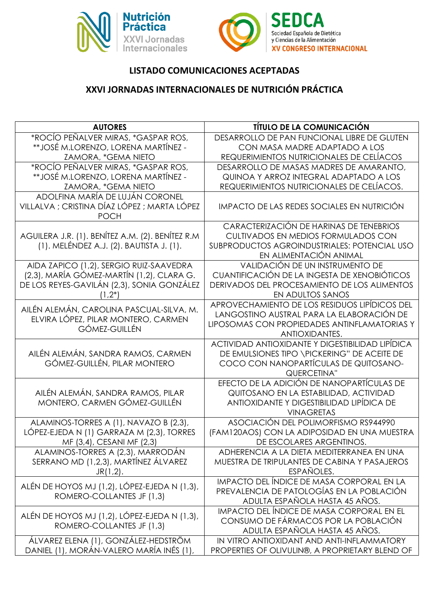



## **LISTADO COMUNICACIONES ACEPTADAS**

## **XXVI JORNADAS INTERNACIONALES DE NUTRICIÓN PRÁCTICA**

| <b>AUTORES</b>                                                 | <b>TÍTULO DE LA COMUNICACIÓN</b>                                         |
|----------------------------------------------------------------|--------------------------------------------------------------------------|
| *ROCÍO PEÑALVER MIRAS, *GASPAR ROS,                            | DESARROLLO DE PAN FUNCIONAL LIBRE DE GLUTEN                              |
| **JOSÉ M.LORENZO, LORENA MARTÍNEZ -                            | CON MASA MADRE ADAPTADO A LOS                                            |
| ZAMORA, *GEMA NIETO                                            | REQUERIMIENTOS NUTRICIONALES DE CELÍACOS                                 |
| *ROCÍO PEÑALVER MIRAS, *GASPAR ROS,                            | DESARROLLO DE MASAS MADRES DE AMARANTO,                                  |
| **JOSÉ M.LORENZO, LORENA MARTÍNEZ -                            | QUINOA Y ARROZ INTEGRAL ADAPTADO A LOS                                   |
| ZAMORA, *GEMA NIETO                                            | REQUERIMIENTOS NUTRICIONALES DE CELÍACOS.                                |
| ADOLFINA MARÍA DE LUJÁN CORONEL                                |                                                                          |
| VILLALVA ; CRISTINA DÍAZ LÓPEZ ; MARTA LÓPEZ<br><b>POCH</b>    | IMPACTO DE LAS REDES SOCIALES EN NUTRICIÓN                               |
|                                                                | CARACTERIZACIÓN DE HARINAS DE TENEBRIOS                                  |
| AGUILERA J.R. (1). BENÍTEZ A.M. (2). BENÍTEZ R.M               | CULTIVADOS EN MEDIOS FORMULADOS CON                                      |
| (1). MELÉNDEZ A.J. (2). BAUTISTA J. (1).                       | SUBPRODUCTOS AGROINDUSTRIALES: POTENCIAL USO                             |
|                                                                | EN ALIMENTACIÓN ANIMAL                                                   |
| AIDA ZAPICO (1,2), SERGIO RUIZ-SAAVEDRA                        | VALIDACIÓN DE UN INSTRUMENTO DE                                          |
| (2,3), MARÍA GÓMEZ-MARTÍN (1,2), CLARA G.                      | CUANTIFICACIÓN DE LA INGESTA DE XENOBIÓTICOS                             |
| DE LOS REYES-GAVILÁN (2,3), SONIA GONZÁLEZ                     | DERIVADOS DEL PROCESAMIENTO DE LOS ALIMENTOS                             |
| $(1,2^*)$                                                      | EN ADULTOS SANOS                                                         |
| AILÉN ALEMÁN, CAROLINA PASCUAL-SILVA, M.                       | APROVECHAMIENTO DE LOS RESIDUOS LIPÍDICOS DEL                            |
| ELVIRA LÓPEZ, PILAR MONTERO, CARMEN                            | LANGOSTINO AUSTRAL PARA LA ELABORACIÓN DE                                |
| <b>GÓMEZ-GUILLÉN</b>                                           | LIPOSOMAS CON PROPIEDADES ANTINFLAMATORIAS Y                             |
|                                                                | ANTIOXIDANTES.                                                           |
|                                                                | ACTIVIDAD ANTIOXIDANTE Y DIGESTIBILIDAD LIPÍDICA                         |
| AILÉN ALEMÁN, SANDRA RAMOS, CARMEN                             | DE EMULSIONES TIPO \PICKERING" DE ACEITE DE                              |
| GÓMEZ-GUILLÉN, PILAR MONTERO                                   | COCO CON NANOPARTÍCULAS DE QUITOSANO-                                    |
|                                                                | QUERCETINA"                                                              |
|                                                                | EFECTO DE LA ADICIÓN DE NANOPARTÍCULAS DE                                |
| AILÉN ALEMÁN, SANDRA RAMOS, PILAR                              | QUITOSANO EN LA ESTABILIDAD, ACTIVIDAD                                   |
| MONTERO, CARMEN GÓMEZ-GUILLÉN                                  | ANTIOXIDANTE Y DIGESTIBILIDAD LIPÍDICA DE                                |
|                                                                | <b>VINAGRETAS</b>                                                        |
| ALAMINOS-TORRES A (1), NAVAZO B (2,3),                         | ASOCIACIÓN DEL POLIMORFISMO RS944990                                     |
| LÓPEZ-EJEDA N (1) GARRAZA M (2,3), TORRES                      | (FAM120AOS) CON LA ADIPOSIDAD EN UNA MUESTRA<br>DE ESCOLARES ARGENTINOS. |
| MF (3,4), CESANI MF (2,3)<br>ALAMINOS-TORRES A (2,3), MARRODÁN | ADHERENCIA A LA DIETA MEDITERRANEA EN UNA                                |
| SERRANO MD (1,2,3), MARTÍNEZ ÁLVAREZ                           | MUESTRA DE TRIPULANTES DE CABINA Y PASAJEROS                             |
| $JR(1,2)$ .                                                    | ESPAÑOLES.                                                               |
|                                                                | IMPACTO DEL ÍNDICE DE MASA CORPORAL EN LA                                |
| ALÉN DE HOYOS MJ (1,2), LÓPEZ-EJEDA N (1,3),                   | PREVALENCIA DE PATOLOGÍAS EN LA POBLACIÓN                                |
| ROMERO-COLLANTES JF (1,3)                                      | ADULTA ESPAÑOLA HASTA 45 AÑOS.                                           |
|                                                                | IMPACTO DEL ÍNDICE DE MASA CORPORAL EN EL                                |
| ALÉN DE HOYOS MJ (1,2), LÓPEZ-EJEDA N (1,3),                   | CONSUMO DE FÁRMACOS POR LA POBLACIÓN                                     |
| ROMERO-COLLANTES JF (1,3)                                      | ADULTA ESPAÑOLA HASTA 45 AÑOS.                                           |
| ÁLVAREZ ELENA (1), GONZÁLEZ-HEDSTRÖM                           | IN VITRO ANTIOXIDANT AND ANTI-INFLAMMATORY                               |
| DANIEL (1), MORÁN-VALERO MARÍA INÉS (1),                       | PROPERTIES OF OLIVULIN®, A PROPRIETARY BLEND OF                          |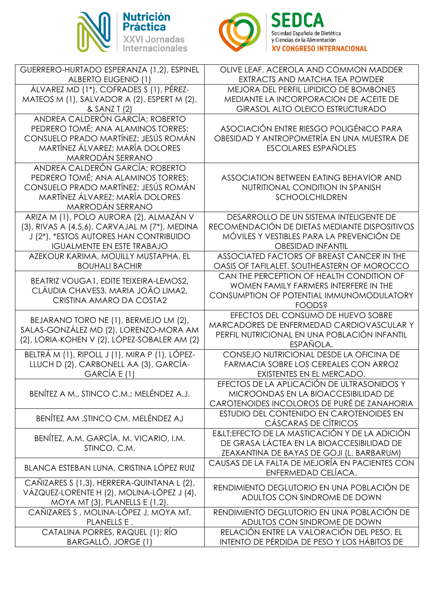



| GUERRERO-HURTADO ESPERANZA (1,2), ESPINEL<br><b>ALBERTO EUGENIO (1)</b> | OLIVE LEAF, ACEROLA AND COMMON MADDER<br>EXTRACTS AND MATCHA TEA POWDER |
|-------------------------------------------------------------------------|-------------------------------------------------------------------------|
| ÁLVAREZ MD (1*), COFRADES S (1), PÉREZ-                                 | MEJORA DEL PERFIL LIPIDICO DE BOMBONES                                  |
| MATEOS M (1), SALVADOR A (2), ESPERT M (2),                             | MEDIANTE LA INCORPORACION DE ACEITE DE                                  |
| & SANZ T (2)                                                            | <b>GIRASOL ALTO OLEICO ESTRUCTURADO</b>                                 |
| ANDREA CALDERÓN GARCÍA; ROBERTO                                         |                                                                         |
| PEDRERO TOMÉ; ANA ALAMINOS TORRES;                                      | ASOCIACIÓN ENTRE RIESGO POLIGÉNICO PARA                                 |
| CONSUELO PRADO MARTÍNEZ; JESÚS ROMÁN                                    | OBESIDAD Y ANTROPOMETRÍA EN UNA MUESTRA DE                              |
| MARTÍNEZ ÁLVAREZ; MARÍA DOLORES                                         | <b>ESCOLARES ESPAÑOLES</b>                                              |
| MARRODÁN SERRANO                                                        |                                                                         |
| ANDREA CALDERÓN GARCÍA; ROBERTO                                         |                                                                         |
| PEDRERO TOMÉ; ANA ALAMINOS TORRES;                                      | ASSOCIATION BETWEEN EATING BEHAVIOR AND                                 |
| CONSUELO PRADO MARTÍNEZ; JESÚS ROMÁN                                    | NUTRITIONAL CONDITION IN SPANISH                                        |
| MARTÍNEZ ÁLVAREZ; MARÍA DOLORES                                         | <b>SCHOOLCHILDREN</b>                                                   |
| MARRODÁN SERRANO                                                        |                                                                         |
| ARIZA M (1), POLO AURORA (2), ALMAZÁN V                                 | DESARROLLO DE UN SISTEMA INTELIGENTE DE                                 |
| (3), RIVAS A (4,5,6), CARVAJAL M (7*), MEDINA                           | RECOMENDACIÓN DE DIETAS MEDIANTE DISPOSITIVOS                           |
| J (2*). *ESTOS AUTORES HAN CONTRIBUIDO                                  | MÓVILES Y VESTIBLES PARA LA PREVENCIÓN DE                               |
| <b>IGUALMENTE EN ESTE TRABAJO</b>                                       | <b>OBESIDAD INFANTIL</b>                                                |
| AZEKOUR KARIMA, MOUILLY MUSTAPHA, EL                                    | ASSOCIATED FACTORS OF BREAST CANCER IN THE                              |
| <b>BOUHALI BACHIR</b>                                                   | OASIS OF TAFILALET. SOUTHEASTERN OF MOROCCO                             |
| BEATRIZ VOUGA1, EDITE TEIXEIRA-LEMOS2,                                  | CAN THE PERCEPTION OF HEALTH CONDITION OF                               |
| CLÁUDIA CHAVES3, MARIA JOÃO LIMA2,                                      | WOMEN FAMILY FARMERS INTERFERE IN THE                                   |
| CRISTINA AMARO DA COSTA2                                                | CONSUMPTION OF POTENTIAL IMMUNOMODULATORY                               |
|                                                                         | <b>FOODS?</b>                                                           |
| BEJARANO TORO NE (1), BERMEJO LM (2),                                   | EFECTOS DEL CONSUMO DE HUEVO SOBRE                                      |
| SALAS-GONZÁLEZ MD (2), LORENZO-MORA AM                                  | MARCADORES DE ENFERMEDAD CARDIOVASCULAR Y                               |
| (2), LORIA-KOHEN V (2), LÓPEZ-SOBALER AM (2)                            | PERFIL NUTRICIONAL EN UNA POBLACIÓN INFANTIL                            |
|                                                                         | ESPAÑOLA.                                                               |
| BELTRÁM (1), RIPOLL J (1), MIRA P (1), LÓPEZ-                           | CONSEJO NUTRICIONAL DESDE LA OFICINA DE                                 |
| LLUCH D (2), CARBONELL AA (3), GARCÍA-<br>GARCÍA E (1)                  | FARMACIA SOBRE LOS CEREALES CON ARROZ                                   |
|                                                                         | EXISTENTES EN EL MERCADO.<br>EFECTOS DE LA APLICACIÓN DE ULTRASONIDOS Y |
| BENÍTEZ A M., STINCO C.M.; MELÉNDEZ A.J.                                | MICROONDAS EN LA BIOACCESIBILIDAD DE                                    |
|                                                                         | CAROTENOIDES INCOLOROS DE PURÉ DE ZANAHORIA                             |
|                                                                         | ESTUDIO DEL CONTENIDO EN CAROTENOIDES EN                                |
| BENÍTEZ AM .STINCO CM. MELÉNDEZ AJ                                      | CÁSCARAS DE CÍTRICOS                                                    |
|                                                                         | E <efecto adición<="" de="" la="" masticación="" td="" y=""></efecto>   |
| BENÍTEZ, A.M. GARCÍA, M. VICARIO, I.M.                                  | DE GRASA LÁCTEA EN LA BIOACCESIBILIDAD DE                               |
| STINCO, C.M.                                                            | ZEAXANTINA DE BAYAS DE GOJI (L. BARBARUM)                               |
|                                                                         | CAUSAS DE LA FALTA DE MEJORÍA EN PACIENTES CON                          |
| BLANCA ESTEBAN LUNA, CRISTINA LÓPEZ RUIZ                                | ENFERMEDAD CELÍACA.                                                     |
| CAÑIZARES S (1,3), HERRERA-QUINTANA L (2),                              |                                                                         |
| VÁZQUEZ-LORENTE H (2), MOLINA-LÓPEZ J (4),                              | RENDIMIENTO DEGLUTORIO EN UNA POBLACIÓN DE                              |
| MOYA MT (3), PLANELLS E (1,2).                                          | ADULTOS CON SINDROME DE DOWN                                            |
| CAÑIZARES S, MOLINA-LÓPEZ J, MOYA MT,                                   | RENDIMIENTO DEGLUTORIO EN UNA POBLACIÓN DE                              |
| PLANELLS E.                                                             | ADULTOS CON SINDROME DE DOWN                                            |
| CATALINA PORRES, RAQUEL (1); RÍO                                        | RELACIÓN ENTRE LA VALORACIÓN DEL PESO, EL                               |
| BARGALLÓ, JORGE (1)                                                     | INTENTO DE PÉRDIDA DE PESO Y LOS HÁBITOS DE                             |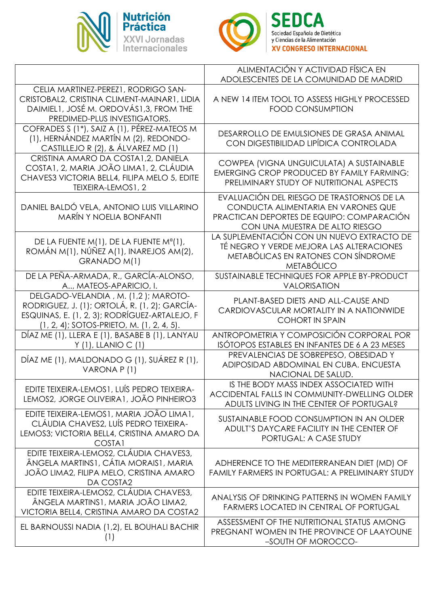



|                                                                                                                                                                                    | ALIMENTACIÓN Y ACTIVIDAD FÍSICA EN<br>ADOLESCENTES DE LA COMUNIDAD DE MADRID                                                                                    |
|------------------------------------------------------------------------------------------------------------------------------------------------------------------------------------|-----------------------------------------------------------------------------------------------------------------------------------------------------------------|
| CELIA MARTINEZ-PEREZ1, RODRIGO SAN-<br>CRISTOBAL2, CRISTINA CLIMENT-MAINAR1, LIDIA<br>DAIMIEL1, JOSÉ M. ORDOVÁS1,3, FROM THE<br>PREDIMED-PLUS INVESTIGATORS.                       | A NEW 14 ITEM TOOL TO ASSESS HIGHLY PROCESSED<br><b>FOOD CONSUMPTION</b>                                                                                        |
| COFRADES S (1 <sup>*</sup> ), SAIZ A (1), PÉREZ-MATEOS M<br>(1), HERNÁNDEZ MARTÍN M (2), REDONDO-<br>CASTILLEJO R (2), & ÁLVAREZ MD (1)                                            | DESARROLLO DE EMULSIONES DE GRASA ANIMAL<br>CON DIGESTIBILIDAD LIPÍDICA CONTROLADA                                                                              |
| CRISTINA AMARO DA COSTA1,2, DANIELA<br>COSTA1, 2, MARIA JOÃO LIMA1, 2, CLÁUDIA<br>CHAVES3 VICTORIA BELL4, FILIPA MELO 5, EDITE<br>TEIXEIRA-LEMOS1, 2                               | COWPEA (VIGNA UNGUICULATA) A SUSTAINABLE<br><b>EMERGING CROP PRODUCED BY FAMILY FARMING:</b><br>PRELIMINARY STUDY OF NUTRITIONAL ASPECTS                        |
| DANIEL BALDÓ VELA, ANTONIO LUIS VILLARINO<br><b>MARÍN Y NOELIA BONFANTI</b>                                                                                                        | EVALUACIÓN DEL RIESGO DE TRASTORNOS DE LA<br>CONDUCTA ALIMENTARIA EN VARONES QUE<br>PRACTICAN DEPORTES DE EQUIPO: COMPARACIÓN<br>CON UNA MUESTRA DE ALTO RIESGO |
| DE LA FUENTE M(1), DE LA FUENTE Mº(1),<br>ROMÁN M(1), NÚÑEZ A(1), INAREJOS AM(2),<br>GRANADO M(1)                                                                                  | LA SUPLEMENTACIÓN CON UN NUEVO EXTRACTO DE<br>TÉ NEGRO Y VERDE MEJORA LAS ALTERACIONES<br>METABÓLICAS EN RATONES CON SÍNDROME<br><b>METABÓLICO</b>              |
| DE LA PEÑA-ARMADA, R., GARCÍA-ALONSO,<br>A, MATEOS-APARICIO, I.                                                                                                                    | SUSTAINABLE TECHNIQUES FOR APPLE BY-PRODUCT<br>VALORISATION                                                                                                     |
| DELGADO-VELANDIA, M. (1,2); MAROTO-<br>RODRIGUEZ, J. (1); ORTOLÁ, R. (1, 2); GARCÍA-<br>ESQUINAS, E. (1, 2, 3); RODRÍGUEZ-ARTALEJO, F<br>(1, 2, 4); SOTOS-PRIETO, M. (1, 2, 4, 5). | PLANT-BASED DIETS AND ALL-CAUSE AND<br>CARDIOVASCULAR MORTALITY IN A NATIONWIDE<br><b>COHORT IN SPAIN</b>                                                       |
| DÍAZ ME (1), LLERA E (1), BASABE B (1), LANYAU<br>$Y(1)$ , LLANIO C $(1)$                                                                                                          | ANTROPOMETRIA Y COMPOSICIÓN CORPORAL POR<br>ISÓTOPOS ESTABLES EN INFANTES DE 6 A 23 MESES                                                                       |
| DÍAZ ME (1), MALDONADO G (1), SUÁREZ R (1),<br>VARONA P(1)                                                                                                                         | PREVALENCIAS DE SOBREPESO, OBESIDAD Y<br>ADIPOSIDAD ABDOMINAL EN CUBA, ENCUESTA<br>NACIONAL DE SALUD.                                                           |
| EDITE TEIXEIRA-LEMOS1, LUÍS PEDRO TEIXEIRA-<br>LEMOS2, JORGE OLIVEIRA1, JOÃO PINHEIRO3                                                                                             | IS THE BODY MASS INDEX ASSOCIATED WITH<br>ACCIDENTAL FALLS IN COMMUNITY-DWELLING OLDER<br>ADULTS LIVING IN THE CENTER OF PORTUGAL?                              |
| EDITE TEIXEIRA-LEMOS1, MARIA JOÃO LIMA1,<br>CLÁUDIA CHAVES2, LUÍS PEDRO TEIXEIRA-<br>LEMOS3; VICTORIA BELL4, CRISTINA AMARO DA<br>COSTA1                                           | SUSTAINABLE FOOD CONSUMPTION IN AN OLDER<br>ADULT'S DAYCARE FACILITY IN THE CENTER OF<br>PORTUGAL: A CASE STUDY                                                 |
| EDITE TEIXEIRA-LEMOS2, CLÁUDIA CHAVES3,<br>ÂNGELA MARTINS1, CÁTIA MORAIS1, MARIA<br>JOÃO LIMA2, FILIPA MELO, CRISTINA AMARO<br>DA COSTA2                                           | ADHERENCE TO THE MEDITERRANEAN DIET (MD) OF<br>FAMILY FARMERS IN PORTUGAL: A PRELIMINARY STUDY                                                                  |
| EDITE TEIXEIRA-LEMOS2, CLÁUDIA CHAVES3,<br>ÂNGELA MARTINS1, MARIA JOÃO LIMA2,<br>VICTORIA BELL4, CRISTINA AMARO DA COSTA2                                                          | ANALYSIS OF DRINKING PATTERNS IN WOMEN FAMILY<br><b>FARMERS LOCATED IN CENTRAL OF PORTUGAL</b>                                                                  |
| EL BARNOUSSI NADIA (1,2), EL BOUHALI BACHIR<br>(1)                                                                                                                                 | ASSESSMENT OF THE NUTRITIONAL STATUS AMONG<br>PREGNANT WOMEN IN THE PROVINCE OF LAAYOUNE<br>-SOUTH OF MOROCCO-                                                  |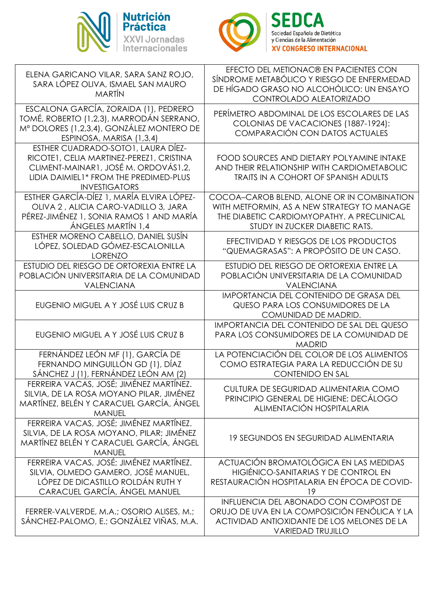



| ELENA GARICANO VILAR, SARA SANZ ROJO,<br>SARA LÓPEZ OLIVA, ISMAEL SAN MAURO<br><b>MARTÍN</b>                                                                                             | EFECTO DEL METIONAC® EN PACIENTES CON<br>SÍNDROME METABÓLICO Y RIESGO DE ENFERMEDAD<br>DE HÍGADO GRASO NO ALCOHÓLICO: UN ENSAYO<br>CONTROLADO ALEATORIZADO                |
|------------------------------------------------------------------------------------------------------------------------------------------------------------------------------------------|---------------------------------------------------------------------------------------------------------------------------------------------------------------------------|
| ESCALONA GARCÍA, ZORAIDA (1), PEDRERO<br>TOMÉ, ROBERTO (1,2,3), MARRODÁN SERRANO,<br>Mª DOLORES (1,2,3,4), GONZÁLEZ MONTERO DE<br>ESPINOSA, MARISA (1,3,4)                               | PERÍMETRO ABDOMINAL DE LOS ESCOLARES DE LAS<br>COLONIAS DE VACACIONES (1887-1924):<br>COMPARACIÓN CON DATOS ACTUALES                                                      |
| ESTHER CUADRADO-SOTO1, LAURA DÍEZ-<br>RICOTE1, CELIA MARTINEZ-PEREZ1, CRISTINA<br>CLIMENT-MAINAR1, JOSÉ M. ORDOVÁS1,2,<br>LIDIA DAIMIEL1* FROM THE PREDIMED-PLUS<br><b>INVESTIGATORS</b> | FOOD SOURCES AND DIETARY POLYAMINE INTAKE<br>AND THEIR RELATIONSHIP WITH CARDIOMETABOLIC<br>TRAITS IN A COHORT OF SPANISH ADULTS                                          |
| ESTHER GARCÍA-DÍEZ 1, MARÍA ELVIRA LÓPEZ-<br>OLIVA 2, ALICIA CARO-VADILLO 3, JARA<br>PÉREZ-JIMÉNEZ 1, SONIA RAMOS 1 AND MARÍA<br>ÁNGELES MARTÍN 1,4                                      | COCOA-CAROB BLEND, ALONE OR IN COMBINATION<br>WITH METFORMIN, AS A NEW STRATEGY TO MANAGE<br>THE DIABETIC CARDIOMYOPATHY. A PRECLINICAL<br>STUDY IN ZUCKER DIABETIC RATS. |
| ESTHER MORENO CABELLO, DANIEL SUSÍN<br>LÓPEZ, SOLEDAD GÓMEZ-ESCALONILLA<br><b>LORENZO</b>                                                                                                | EFECTIVIDAD Y RIESGOS DE LOS PRODUCTOS<br>"QUEMAGRASAS": A PROPÓSITO DE UN CASO.                                                                                          |
| ESTUDIO DEL RIESGO DE ORTOREXIA ENTRE LA<br>POBLACIÓN UNIVERSITARIA DE LA COMUNIDAD<br>VALENCIANA                                                                                        | ESTUDIO DEL RIESGO DE ORTOREXIA ENTRE LA<br>POBLACIÓN UNIVERSITARIA DE LA COMUNIDAD<br><b>VALENCIANA</b>                                                                  |
| EUGENIO MIGUEL A Y JOSÉ LUIS CRUZ B                                                                                                                                                      | IMPORTANCIA DEL CONTENIDO DE GRASA DEL<br>QUESO PARA LOS CONSUMIDORES DE LA<br>COMUNIDAD DE MADRID.                                                                       |
| EUGENIO MIGUEL A Y JOSÉ LUIS CRUZ B                                                                                                                                                      | IMPORTANCIA DEL CONTENIDO DE SAL DEL QUESO<br>PARA LOS CONSUMIDORES DE LA COMUNIDAD DE<br><b>MADRID</b>                                                                   |
| FERNÁNDEZ LEÓN MF (1), GARCÍA DE<br>FERNANDO MINGUILLÓN GD (1), DÍAZ<br>SÁNCHEZ J (1), FERNÁNDEZ LEÓN AM (2)                                                                             | LA POTENCIACIÓN DEL COLOR DE LOS ALIMENTOS<br>COMO ESTRATEGIA PARA LA REDUCCIÓN DE SU<br><b>CONTENIDO EN SAL</b>                                                          |
| FERREIRA VACAS, JOSÉ; JIMÉNEZ MARTÍNEZ.<br>SILVIA, DE LA ROSA MOYANO PILAR, JIMÉNEZ<br>MARTÍNEZ, BELÉN Y CARACUEL GARCÍA, ÁNGEL<br><b>MANUEL</b>                                         | CULTURA DE SEGURIDAD ALIMENTARIA COMO<br>PRINCIPIO GENERAL DE HIGIENE: DECÁLOGO<br>ALIMENTACIÓN HOSPITALARIA                                                              |
| FERREIRA VACAS, JOSÉ; JIMÉNEZ MARTÍNEZ.<br>SILVIA, DE LA ROSA MOYANO, PILAR; JIMÉNEZ<br>MARTÍNEZ BELÉN Y CARACUEL GARCÍA, ÁNGEL<br><b>MANUEL</b>                                         | <b>19 SEGUNDOS EN SEGURIDAD ALIMENTARIA</b>                                                                                                                               |
| FERREIRA VACAS, JOSÉ; JIMÉNEZ MARTÍNEZ.<br>SILVIA, OLMEDO GAMERO, JOSÉ MANUEL,<br>LÓPEZ DE DICASTILLO ROLDÁN RUTH Y<br>CARACUEL GARCÍA, ÁNGEL MANUEL                                     | ACTUACIÓN BROMATOLÓGICA EN LAS MEDIDAS<br>HIGIÉNICO-SANITARIAS Y DE CONTROL EN<br>RESTAURACIÓN HOSPITALARIA EN ÉPOCA DE COVID-<br>19                                      |
| FERRER-VALVERDE, M.A.; OSORIO ALISES, M.;<br>SÁNCHEZ-PALOMO, E.; GONZÁLEZ VIÑAS, M.A.                                                                                                    | INFLUENCIA DEL ABONADO CON COMPOST DE<br>ORUJO DE UVA EN LA COMPOSICIÓN FENÓLICA Y LA<br>ACTIVIDAD ANTIOXIDANTE DE LOS MELONES DE LA<br><b>VARIEDAD TRUJILLO</b>          |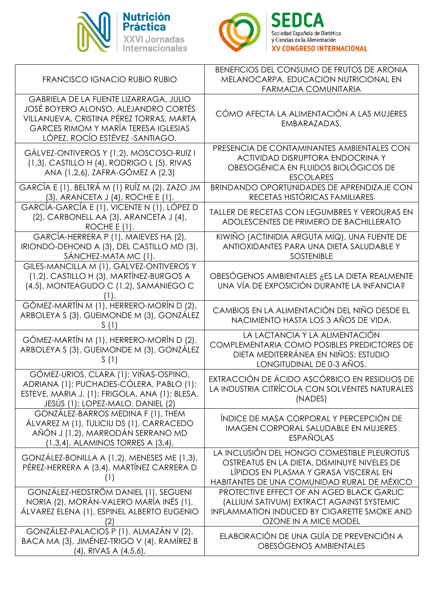



| <b>FRANCISCO IGNACIO RUBIO RUBIO</b>                                                                                                                                                                         | BENEFICIOS DEL CONSUMO DE FRUTOS DE ARONIA<br>MELANOCARPA. EDUCACION NUTRICIONAL EN<br><b>FARMACIA COMUNITARIA</b>                                                                 |
|--------------------------------------------------------------------------------------------------------------------------------------------------------------------------------------------------------------|------------------------------------------------------------------------------------------------------------------------------------------------------------------------------------|
| GABRIELA DE LA FUENTE LIZARRAGA, JULIO<br>JOSÉ BOYERO ALONSO, ALEJANDRO CORTÉS<br>VILLANUEVA, CRISTINA PÉREZ TORRAS, MARTA<br><b>GARCES RIMOM Y MARÍA TERESA IGLESIAS</b><br>LÓPEZ, ROCÍO ESTÉVEZ -SANTIAGO. | CÓMO AFECTA LA ALIMENTACIÓN A LAS MUJERES<br>EMBARAZADAS.                                                                                                                          |
| GÁLVEZ-ONTIVEROS Y (1,2), MOSCOSO-RUIZ I<br>(1,3), CASTILLO H (4), RODRIGO L (5), RIVAS<br>ANA (1,2,6), ZAFRA-GÓMEZ A (2,3)                                                                                  | PRESENCIA DE CONTAMINANTES AMBIENTALES CON<br>ACTIVIDAD DISRUPTORA ENDOCRINA Y<br>OBESOGÉNICA EN FLUIDOS BIOLÓGICOS DE<br><b>ESCOLARES</b>                                         |
| GARCÍA E (1), BELTRÁ M (1) RUÍZ M (2), ZAZO JM<br>(3), ARANCETA J (4), ROCHE E (1).                                                                                                                          | BRINDANDO OPORTUNIDADES DE APRENDIZAJE CON<br>RECETAS HISTÓRICAS FAMILIARES                                                                                                        |
| GARCÍA-GARCÍA E (1), VICENTE N (1), LÓPEZ D<br>(2), CARBONELL AA (3), ARANCETA J (4),<br>ROCHE $E(1)$ .                                                                                                      | TALLER DE RECETAS CON LEGUMBRES Y VERDURAS EN<br>ADOLESCENTES DE PRIMERO DE BACHILLERATO                                                                                           |
| GARCÍA-HERRERA P (1), MAIEVES HA (2),<br>IRIONDO-DEHOND A (3), DEL CASTILLO MD (3),<br>SÁNCHEZ-MATA MC (1).                                                                                                  | KIWIÑO (ACTINIDIA ARGUTA MIQ), UNA FUENTE DE<br>ANTIOXIDANTES PARA UNA DIETA SALUDABLE Y<br><b>SOSTENIBLE</b>                                                                      |
| GILES-MANCILLA M (1), GÁLVEZ-ONTIVEROS Y<br>(1,2), CASTILLO H (3), MARTÍNEZ-BURGOS A<br>(4,5), MONTEAGUDO C (1,2), SAMANIEGO C                                                                               | OBESÓGENOS AMBIENTALES ¿ES LA DIETA REALMENTE<br>UNA VÍA DE EXPOSICIÓN DURANTE LA INFANCIA?                                                                                        |
| GÓMEZ-MARTÍN M (1), HERRERO-MORÍN D (2),<br>ARBOLEYA S (3), GUEIMONDE M (3), GONZÁLEZ                                                                                                                        | CAMBIOS EN LA ALIMENTACIÓN DEL NIÑO DESDE EL<br>NACIMIENTO HASTA LOS 3 AÑOS DE VIDA.                                                                                               |
| GÓMEZ-MARTÍN M (1), HERRERO-MORÍN D (2),<br>ARBOLEYA S (3), GUEIMONDE M (3), GONZÁLEZ<br>S(1)                                                                                                                | LA LACTANCIA Y LA ALIMENTACIÓN<br>COMPLEMENTARIA COMO POSIBLES PREDICTORES DE<br>DIETA MEDITERRÁNEA EN NIÑOS: ESTUDIO<br>LONGITUDINAL DE 0-3 AÑOS.                                 |
| GÓMEZ-URIOS, CLARA (1); VIÑAS-OSPINO,<br>ADRIANA (1); PUCHADES-CÓLERA, PABLO (1);<br>ESTEVE, MARIA J. (1); FRIGOLA, ANA (1); BLESA,<br>JESÚS (1); LOPEZ-MALO, DANIEL (2)                                     | EXTRACCIÓN DE ÁCIDO ASCÓRBICO EN RESIDUOS DE<br>LA INDUSTRIA CITRÍCOLA CON SOLVENTES NATURALES<br>(NADES)                                                                          |
| GONZÁLEZ-BARROS MEDINA F (1), THEM<br>ÁLVAREZ M (1), TULICIU DS (1), CARRACEDO<br>AÑÓN J (1,2), MARRODÁN SERRANO MD<br>(1,3,4), ALAMINOS TORRES A (3,4).                                                     | ÍNDICE DE MASA CORPORAL Y PERCEPCIÓN DE<br>IMAGEN CORPORAL SALUDABLE EN MUJERES<br><b>ESPAÑOLAS</b>                                                                                |
| GONZÁLEZ-BONILLA A (1,2), MENESES ME (1,3),<br>PÉREZ-HERRERA A (3,4), MARTÍNEZ CARRERA D<br>(1)                                                                                                              | LA INCLUSIÓN DEL HONGO COMESTIBLE PLEUROTUS<br>OSTREATUS EN LA DIETA, DISMINUYE NIVELES DE<br>LÍPIDOS EN PLASMA Y GRASA VISCERAL EN<br>HABITANTES DE UNA COMUNIDAD RURAL DE MÉXICO |
| GONZÁLEZ-HEDSTRÖM DANIEL (1), SEGUENI<br>NORIA (2), MORÁN-VALERO MARÍA INÉS (1),<br>ÁLVAREZ ELENA (1), ESPINEL ALBERTO EUGENIO<br>(2)                                                                        | PROTECTIVE EFFECT OF AN AGED BLACK GARLIC<br>(ALLIUM SATIVUM) EXTRACT AGAINST SYSTEMIC<br>INFLAMMATION INDUCED BY CIGARETTE SMOKE AND<br>OZONE IN A MICE MODEL                     |
| GONZÁLEZ-PALACIOS P (1), ALMAZÁN V (2),<br>BACA MA (3), JIMÉNEZ-TRIGO V (4), RAMÍREZ B<br>$(4)$ , RIVAS A $(4,5,6)$ .                                                                                        | ELABORACIÓN DE UNA GUÍA DE PREVENCIÓN A<br>OBESÓGENOS AMBIENTALES                                                                                                                  |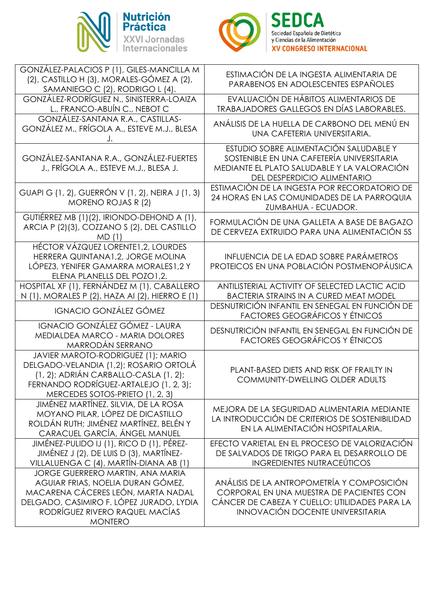



| GONZÁLEZ-PALACIOS P (1), GILES-MANCILLA M<br>(2), CASTILLO H (3), MORALES-GÓMEZ A (2),<br>SAMANIEGO C (2), RODRIGO L (4).                                                                                   | ESTIMACIÓN DE LA INGESTA ALIMENTARIA DE<br>PARABENOS EN ADOLESCENTES ESPAÑOLES                                                                                                     |
|-------------------------------------------------------------------------------------------------------------------------------------------------------------------------------------------------------------|------------------------------------------------------------------------------------------------------------------------------------------------------------------------------------|
| GONZÁLEZ-RODRÍGUEZ N., SINISTERRA-LOAIZA<br>L., FRANCO-ABUÍN C., NEBOT C                                                                                                                                    | EVALUACIÓN DE HÁBITOS ALIMENTARIOS DE<br>TRABAJADORES GALLEGOS EN DÍAS LABORABLES.                                                                                                 |
| GONZÁLEZ-SANTANA R.A., CASTILLAS-<br>GONZÁLEZ M., FRÍGOLA A., ESTEVE M.J., BLESA                                                                                                                            | ANÁLISIS DE LA HUELLA DE CARBONO DEL MENÚ EN<br>UNA CAFETERIA UNIVERSITARIA.                                                                                                       |
| GONZÁLEZ-SANTANA R.A., GONZÁLEZ-FUERTES<br>J., FRÍGOLA A., ESTEVE M.J., BLESA J.                                                                                                                            | ESTUDIO SOBRE ALIMENTACIÓN SALUDABLE Y<br>SOSTENIBLE EN UNA CAFETERÍA UNIVERSITARIA<br>MEDIANTE EL PLATO SALUDABLE Y LA VALORACIÓN<br>DEL DESPERDICIO ALIMENTARIO                  |
| GUAPI G (1, 2), GUERRÓN V (1, 2), NEIRA J (1, 3)<br><b>MORENO ROJAS R (2)</b>                                                                                                                               | ESTIMACIÓN DE LA INGESTA POR RECORDATORIO DE<br>24 HORAS EN LAS COMUNIDADES DE LA PARROQUIA<br>ZUMBAHUA - ECUADOR.                                                                 |
| GUTIÉRREZ MB (1)(2), IRIONDO-DEHOND A (1),<br>ARCIA P (2)(3), COZZANO S (2), DEL CASTILLO<br>MD(1)                                                                                                          | FORMULACIÓN DE UNA GALLETA A BASE DE BAGAZO<br>DE CERVEZA EXTRUIDO PARA UNA ALIMENTACIÓN 5S                                                                                        |
| HÉCTOR VÁZQUEZ LORENTE1, 2, LOURDES<br>HERRERA QUINTANA1,2, JORGE MOLINA<br>LÓPEZ3, YENIFER GAMARRA MORALES1,2 Y<br>ELENA PLANELLS DEL POZO1,2.                                                             | INFLUENCIA DE LA EDAD SOBRE PARÁMETROS<br>PROTEICOS EN UNA POBLACIÓN POSTMENOPÁUSICA                                                                                               |
| HOSPITAL XF (1), FERNÁNDEZ M (1), CABALLERO<br>N (1), MORALES P (2), HAZA AI (2), HIERRO E (1)                                                                                                              | ANTILISTERIAL ACTIVITY OF SELECTED LACTIC ACID<br><b>BACTERIA STRAINS IN A CURED MEAT MODEL</b>                                                                                    |
| <b>IGNACIO GONZÁLEZ GÓMEZ</b>                                                                                                                                                                               | DESNUTRICIÓN INFANTIL EN SENEGAL EN FUNCIÓN DE<br><b>FACTORES GEOGRÁFICOS Y ÉTNICOS</b>                                                                                            |
| IGNACIO GONZÁLEZ GÓMEZ - LAURA<br>MEDIALDEA MARCO - MARIA DOLORES<br>MARRODÁN SERRANO                                                                                                                       | DESNUTRICIÓN INFANTIL EN SENEGAL EN FUNCIÓN DE<br><b>FACTORES GEOGRÁFICOS Y ÉTNICOS</b>                                                                                            |
| JAVIER MAROTO-RODRIGUEZ (1); MARIO<br>DELGADO-VELANDIA (1,2); ROSARIO ORTOLÁ<br>(1, 2); ADRIÁN CARBALLO-CASLA (1, 2);<br>FERNANDO RODRÍGUEZ-ARTALEJO (1, 2, 3);<br>MERCEDES SOTOS-PRIETO (1, 2, 3)          | PLANT-BASED DIETS AND RISK OF FRAILTY IN<br>COMMUNITY-DWELLING OLDER ADULTS                                                                                                        |
| JIMÉNEZ MARTÍNEZ. SILVIA, DE LA ROSA<br>MOYANO PILAR, LÓPEZ DE DICASTILLO<br>ROLDÁN RUTH; JIMÉNEZ MARTÍNEZ, BELÉN Y<br>CARACUEL GARCÍA, ÁNGEL MANUEL                                                        | MEJORA DE LA SEGURIDAD ALIMENTARIA MEDIANTE<br>LA INTRODUCCIÓN DE CRITERIOS DE SOSTENIBILIDAD<br>EN LA ALIMENTACIÓN HOSPITALARIA.                                                  |
| JIMÉNEZ-PULIDO IJ (1), RICO D (1), PÉREZ-<br>JIMÉNEZ J (2), DE LUIS D (3), MARTÍNEZ-<br>VILLALUENGA C (4), MARTÍN-DIANA AB (1)                                                                              | EFECTO VARIETAL EN EL PROCESO DE VALORIZACIÓN<br>DE SALVADOS DE TRIGO PARA EL DESARROLLO DE<br><b>INGREDIENTES NUTRACEÚTICOS</b>                                                   |
| JORGE GUERRERO MARTIN, ANA MARIA<br>AGUIAR FRIAS, NOELIA DURAN GÓMEZ,<br>MACARENA CÁCERES LEÓN, MARTA NADAL<br>DELGADO, CASIMIRO F. LÓPEZ JURADO, LYDIA<br>RODRÍGUEZ RIVERO RAQUEL MACÍAS<br><b>MONTERO</b> | ANÁLISIS DE LA ANTROPOMETRÍA Y COMPOSICIÓN<br>CORPORAL EN UNA MUESTRA DE PACIENTES CON<br>CÁNCER DE CABEZA Y CUELLO: UTILIDADES PARA LA<br><b>INNOVACIÓN DOCENTE UNIVERSITARIA</b> |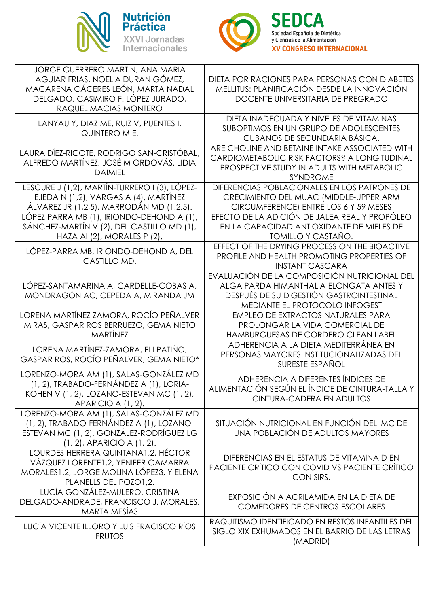



| JORGE GUERRERO MARTIN, ANA MARIA<br>AGUIAR FRIAS, NOELIA DURAN GÓMEZ,<br>MACARENA CÁCERES LEÓN, MARTA NADAL<br>DELGADO, CASIMIRO F. LÓPEZ JURADO,<br>RAQUEL MACIAS MONTERO | DIETA POR RACIONES PARA PERSONAS CON DIABETES<br>MELLITUS: PLANIFICACIÓN DESDE LA INNOVACIÓN<br>DOCENTE UNIVERSITARIA DE PREGRADO                                     |
|----------------------------------------------------------------------------------------------------------------------------------------------------------------------------|-----------------------------------------------------------------------------------------------------------------------------------------------------------------------|
| LANYAU Y, DIAZ ME, RUIZ V, PUENTES I,<br>QUINTERO M E.                                                                                                                     | DIETA INADECUADA Y NIVELES DE VITAMINAS<br>SUBOPTIMOS EN UN GRUPO DE ADOLESCENTES<br>CUBANOS DE SECUNDARIA BÁSICA.                                                    |
| LAURA DÍEZ-RICOTE, RODRIGO SAN-CRISTÓBAL,<br>ALFREDO MARTÍNEZ, JOSÉ M ORDOVÁS, LIDIA<br><b>DAIMIEL</b>                                                                     | ARE CHOLINE AND BETAINE INTAKE ASSOCIATED WITH<br>CARDIOMETABOLIC RISK FACTORS? A LONGITUDINAL<br>PROSPECTIVE STUDY IN ADULTS WITH METABOLIC<br><b>SYNDROME</b>       |
| LESCURE J (1,2), MARTÍN-TURRERO I (3), LÓPEZ-<br>EJEDA N (1,2), VARGAS A (4), MARTÍNEZ<br>ÁLVAREZ JR (1,2,5), MARRODÁN MD (1,2,5).                                         | DIFERENCIAS POBLACIONALES EN LOS PATRONES DE<br>CRECIMIENTO DEL MUAC (MIDDLE-UPPER ARM<br>CIRCUMFERENCE) ENTRE LOS 6 Y 59 MESES                                       |
| LÓPEZ PARRA MB (1), IRIONDO-DEHOND A (1),<br>SÁNCHEZ-MARTÍN V (2), DEL CASTILLO MD (1),<br>HAZA AI (2), MORALES P (2).                                                     | EFECTO DE LA ADICIÓN DE JALEA REAL Y PROPÓLEO<br>EN LA CAPACIDAD ANTIOXIDANTE DE MIELES DE<br><b>TOMILLO Y CASTAÑO.</b>                                               |
| LÓPEZ-PARRA MB, IRIONDO-DEHOND A, DEL<br>CASTILLO MD.                                                                                                                      | EFFECT OF THE DRYING PROCESS ON THE BIOACTIVE<br>PROFILE AND HEALTH PROMOTING PROPERTIES OF<br><b>INSTANT CASCARA</b>                                                 |
| LÓPEZ-SANTAMARINA A, CARDELLE-COBAS A,<br>MONDRAGÓN AC, CEPEDA A, MIRANDA JM                                                                                               | EVALUACIÓN DE LA COMPOSICIÓN NUTRICIONAL DEL<br>ALGA PARDA HIMANTHALIA ELONGATA ANTES Y<br>DESPUÉS DE SU DIGESTIÓN GASTROINTESTINAL<br>MEDIANTE EL PROTOCOLO INFOGEST |
| LORENA MARTÍNEZ ZAMORA, ROCÍO PEÑALVER<br>MIRAS, GASPAR ROS BERRUEZO, GEMA NIETO<br><b>MARTÍNEZ</b>                                                                        | <b>EMPLEO DE EXTRACTOS NATURALES PARA</b><br>PROLONGAR LA VIDA COMERCIAL DE<br>HAMBURGUESAS DE CORDERO CLEAN LABEL                                                    |
| LORENA MARTÍNEZ-ZAMORA, ELI PATIÑO,<br>GASPAR ROS, ROCÍO PEÑALVER, GEMA NIETO*                                                                                             | ADHERENCIA A LA DIETA MEDITERRÁNEA EN<br>PERSONAS MAYORES INSTITUCIONALIZADAS DEL<br>SURESTE ESPAÑOL                                                                  |
| LORENZO-MORA AM (1), SALAS-GONZÁLEZ MD<br>(1, 2), TRABADO-FERNÁNDEZ A (1), LORIA-<br>KOHEN V (1, 2), LOZANO-ESTEVAN MC (1, 2),<br>APARICIO A (1, 2).                       | ADHERENCIA A DIFERENTES ÍNDICES DE<br>ALIMENTACIÓN SEGÚN EL ÍNDICE DE CINTURA-TALLA Y<br>CINTURA-CADERA EN ADULTOS                                                    |
| LORENZO-MORA AM (1), SALAS-GONZÁLEZ MD<br>(1, 2), TRABADO-FERNÁNDEZ A (1), LOZANO-<br>ESTEVAN MC (1, 2), GONZÁLEZ-RODRÍGUEZ LG<br>$(1, 2)$ , APARICIO A $(1, 2)$ .         | SITUACIÓN NUTRICIONAL EN FUNCIÓN DEL IMC DE<br>UNA POBLACIÓN DE ADULTOS MAYORES                                                                                       |
| LOURDES HERRERA QUINTANA1,2, HÉCTOR<br>VÁZQUEZ LORENTE1, 2, YENIFER GAMARRA<br>MORALES1, 2, JORGE MOLINA LÓPEZ3, Y ELENA<br>PLANELLS DEL POZO1,2.                          | DIFERENCIAS EN EL ESTATUS DE VITAMINA D EN<br>PACIENTE CRÍTICO CON COVID VS PACIENTE CRÍTICO<br>CON SIRS.                                                             |
| LUCÍA GONZÁLEZ-MULERO, CRISTINA<br>DELGADO-ANDRADE, FRANCISCO J. MORALES,<br><b>MARTA MESÍAS</b>                                                                           | EXPOSICIÓN A ACRILAMIDA EN LA DIETA DE<br><b>COMEDORES DE CENTROS ESCOLARES</b>                                                                                       |
| LUCÍA VICENTE ILLORO Y LUIS FRACISCO RÍOS<br><b>FRUTOS</b>                                                                                                                 | RAQUITISMO IDENTIFICADO EN RESTOS INFANTILES DEL<br>SIGLO XIX EXHUMADOS EN EL BARRIO DE LAS LETRAS<br>(MADRID)                                                        |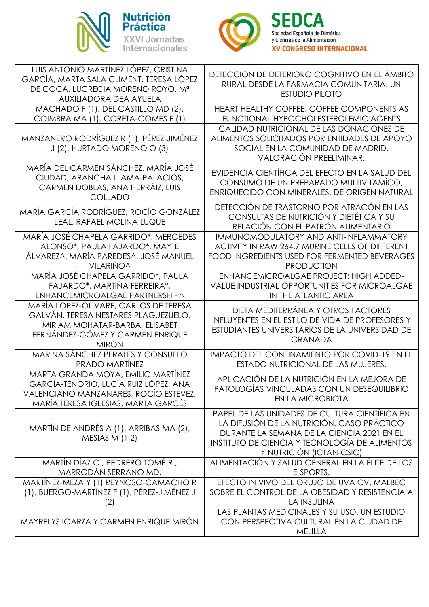



| LUIS ANTONIO MARTÍNEZ LÓPEZ, CRISTINA<br>GARCÍA, MARTA SALA CLIMENT, TERESA LÓPEZ<br>DE COCA, LUCRECIA MORENO ROYO, Mª<br>AUXILIADORA DEA AYUELA                    | DETECCIÓN DE DETERIORO COGNITIVO EN EL ÁMBITO<br>RURAL DESDE LA FARMACIA COMUNITARIA: UN<br><b>ESTUDIO PILOTO</b>                                                                                                        |
|---------------------------------------------------------------------------------------------------------------------------------------------------------------------|--------------------------------------------------------------------------------------------------------------------------------------------------------------------------------------------------------------------------|
| MACHADO F (1), DEL CASTILLO MD (2),<br>COIMBRA MA (1), CORETA-GOMES F (1)                                                                                           | HEART HEALTHY COFFEE: COFFEE COMPONENTS AS<br>FUNCTIONAL HYPOCHOLESTEROLEMIC AGENTS                                                                                                                                      |
| MANZANERO RODRÍGUEZ R (1), PÉREZ-JIMÉNEZ<br>J (2), HURTADO MORENO O (3)                                                                                             | CALIDAD NUTRICIONAL DE LAS DONACIONES DE<br>ALIMENTOS SOLICITADOS POR ENTIDADES DE APOYO<br>SOCIAL EN LA COMUNIDAD DE MADRID.<br>VALORACIÓN PREELIMINAR.                                                                 |
| MARÍA DEL CARMEN SÁNCHEZ, MARÍA JOSÉ<br>CIUDAD, ARANCHA LLAMA-PALACIOS,<br>CARMEN DOBLAS, ANA HERRÁIZ, LUIS<br><b>COLLADO</b>                                       | EVIDENCIA CIENTÍFICA DEL EFECTO EN LA SALUD DEL<br>CONSUMO DE UN PREPARADO MULTIVITAMÍCO,<br>ENRIQUECIDO CON MINERALES, DE ORIGEN NATURAL                                                                                |
| MARÍA GARCÍA RODRÍGUEZ, ROCÍO GONZÁLEZ<br>LEAL, RAFAEL MOLINA LUQUE                                                                                                 | DETECCIÓN DE TRASTORNO POR ATRACÓN EN LAS<br>CONSULTAS DE NUTRICIÓN Y DIETÉTICA Y SU<br>RELACIÓN CON EL PATRÓN ALIMENTARIO                                                                                               |
| MARÍA JOSÉ CHAPELA GARRIDO*, MERCEDES<br>ALONSO*, PAULA FAJARDO*, MAYTE<br>ÁLVAREZ^, MARÍA PAREDES^, JOSÉ MANUEL<br><b>VILARIÑO^</b>                                | IMMUNOMODULATORY AND ANTI-INFLAMMATORY<br>ACTIVITY IN RAW 264.7 MURINE CELLS OF DIFFERENT<br>FOOD INGREDIENTS USED FOR FERMENTED BEVERAGES<br><b>PRODUCTION</b>                                                          |
| MARÍA JOSÉ CHAPELA GARRIDO*, PAULA<br>FAJARDO*, MARTIÑA FERREIRA*,<br>ENHANCEMICROALGAE PARTNERSHIP^                                                                | <b>ENHANCEMICROALGAE PROJECT: HIGH ADDED-</b><br>VALUE INDUSTRIAL OPPORTUNITIES FOR MICROALGAE<br>IN THE ATLANTIC AREA                                                                                                   |
| MARÍA LÓPEZ-OLIVARE, CARLOS DE TERESA<br>GALVÁN, TERESA NESTARES PLAGUEZUELO,<br>MIRIAM MOHATAR-BARBA, ELISABET<br>FERNÁNDEZ-GÓMEZ Y CARMEN ENRIQUE<br><b>MIRÓN</b> | DIETA MEDITERRÁNEA Y OTROS FACTORES<br><b>INFLUYENTES EN EL ESTILO DE VIDA DE PROFESORES Y</b><br>ESTUDIANTES UNIVERSITARIOS DE LA UNIVERSIDAD DE<br><b>GRANADA</b>                                                      |
| MARINA SÁNCHEZ PERALES Y CONSUELO<br><b>PRADO MARTÍNEZ</b>                                                                                                          | <b>IMPACTO DEL CONFINAMIENTO POR COVID-19 EN EL</b><br>ESTADO NUTRICIONAL DE LAS MUJERES.                                                                                                                                |
| MARTA GRANDA MOYA, EMILIO MARTÍNEZ<br>GARCÍA-TENORIO, LUCÍA RUIZ LÓPEZ, ANA<br>VALENCIANO MANZANARES, ROCÍO ESTEVEZ,<br>MARÍA TERESA IGLESIAS, MARTA GARCÉS         | APLICACIÓN DE LA NUTRICIÓN EN LA MEJORA DE<br>PATOLOGÍAS VINCULADAS CON UN DESEQUILIBRIO<br>EN LA MICROBIOTA                                                                                                             |
| MARTÍN DE ANDRÉS A (1), ARRIBAS MA (2),<br>MESIAS $M(1,2)$                                                                                                          | PAPEL DE LAS UNIDADES DE CULTURA CIENTÍFICA EN<br>LA DIFUSIÓN DE LA NUTRICIÓN. CASO PRÁCTICO<br>DURANTE LA SEMANA DE LA CIENCIA 2021 EN EL<br>INSTITUTO DE CIENCIA Y TECNOLOGÍA DE ALIMENTOS<br>Y NUTRICIÓN (ICTAN-CSIC) |
| MARTÍN DÍAZ C., PEDRERO TOMÉ R.,<br>MARRODÁN SERRANO MD.                                                                                                            | ALIMENTACIÓN Y SALUD GENERAL EN LA ÉLITE DE LOS<br>E-SPORTS.                                                                                                                                                             |
| MARTÍNEZ-MEZA Y (1) REYNOSO-CAMACHO R<br>(1), BUERGO-MARTÍNEZ F (1), PÉREZ-JIMÉNEZ J<br>(2)                                                                         | EFECTO IN VIVO DEL ORUJO DE UVA CV. MALBEC<br>SOBRE EL CONTROL DE LA OBESIDAD Y RESISTENCIA A<br>LA INSULINA                                                                                                             |
| MAYRELYS IGARZA Y CARMEN ENRIQUE MIRÓN                                                                                                                              | LAS PLANTAS MEDICINALES Y SU USO. UN ESTUDIO<br>CON PERSPECTIVA CULTURAL EN LA CIUDAD DE<br>MELILLA                                                                                                                      |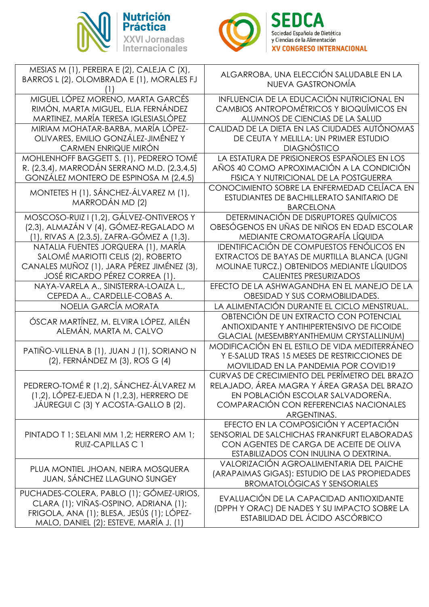



| MESIAS M (1), PEREIRA E (2), CALEJA C (X),                                                                                                                                | ALGARROBA, UNA ELECCIÓN SALUDABLE EN LA                                                                                                                                                    |
|---------------------------------------------------------------------------------------------------------------------------------------------------------------------------|--------------------------------------------------------------------------------------------------------------------------------------------------------------------------------------------|
| BARROS L (2), OLOMBRADA E (1), MORALES FJ                                                                                                                                 | NUEVA GASTRONOMÍA                                                                                                                                                                          |
| MIGUEL LÓPEZ MORENO, MARTA GARCÉS                                                                                                                                         | INFLUENCIA DE LA EDUCACIÓN NUTRICIONAL EN                                                                                                                                                  |
| RIMÓN, MARTA MIGUEL, ELIA FERNÁNDEZ                                                                                                                                       | <b>CAMBIOS ANTROPOMÉTRICOS Y BIOQUÍMICOS EN</b>                                                                                                                                            |
| MARTINEZ, MARÍA TERESA IGLESIASLÓPEZ                                                                                                                                      | ALUMNOS DE CIENCIAS DE LA SALUD                                                                                                                                                            |
| MIRIAM MOHATAR-BARBA, MARÍA LÓPEZ-                                                                                                                                        | CALIDAD DE LA DIETA EN LAS CIUDADES AUTÓNOMAS                                                                                                                                              |
| OLIVARES, EMILIO GONZÁLEZ-JIMÉNEZ Y                                                                                                                                       | DE CEUTA Y MELILLA: UN PRIMER ESTUDIO                                                                                                                                                      |
| CARMEN ENRIQUE MIRÓN                                                                                                                                                      | <b>DIAGNÓSTICO</b>                                                                                                                                                                         |
| MOHLENHOFF BAGGETT S. (1), PEDRERO TOMÉ                                                                                                                                   | LA ESTATURA DE PRISIONEROS ESPAÑOLES EN LOS                                                                                                                                                |
| R. (2,3,4), MARRODÁN SERRANO M.D. (2,3,4,5)                                                                                                                               | AÑOS 40 COMO APROXIMACIÓN A LA CONDICIÓN                                                                                                                                                   |
| GONZÁLEZ MONTERO DE ESPINOSA M (2,4,5)                                                                                                                                    | FISICA Y NUTRICIONAL DE LA POSTGUERRA                                                                                                                                                      |
| MONTETES H (1), SÁNCHEZ-ÁLVAREZ M (1),<br>MARRODÁN MD (2)                                                                                                                 | CONOCIMIENTO SOBRE LA ENFERMEDAD CELÍACA EN<br>ESTUDIANTES DE BACHILLERATO SANITARIO DE<br><b>BARCELONA</b>                                                                                |
| MOSCOSO-RUIZ I (1,2), GÁLVEZ-ONTIVEROS Y                                                                                                                                  | DETERMINACIÓN DE DISRUPTORES QUÍMICOS                                                                                                                                                      |
| (2,3), ALMAZÁN V (4), GÓMEZ-REGALADO M                                                                                                                                    | OBESÓGENOS EN UÑAS DE NIÑOS EN EDAD ESCOLAR                                                                                                                                                |
| (1), RIVAS A (2,3,5), ZAFRA-GÓMEZ A (1,3).                                                                                                                                | MEDIANTE CROMATOGRAFÍA LÍQUIDA                                                                                                                                                             |
| NATALIA FUENTES JORQUERA (1), MARÍA                                                                                                                                       | IDENTIFICACIÓN DE COMPUESTOS FENÓLICOS EN                                                                                                                                                  |
| SALOMÉ MARIOTTI CELIS (2), ROBERTO                                                                                                                                        | EXTRACTOS DE BAYAS DE MURTILLA BLANCA (UGNI                                                                                                                                                |
| CANALES MUÑOZ (1), JARA PÉREZ JIMÉNEZ (3),                                                                                                                                | MOLINAE TURCZ.) OBTENIDOS MEDIANTE LÍQUIDOS                                                                                                                                                |
| JOSÉ RICARDO PÉREZ CORREA (1).                                                                                                                                            | <b>CALIENTES PRESURIZADOS</b>                                                                                                                                                              |
| NAYA-VARELA A., SINISTERRA-LOAIZA L.,                                                                                                                                     | EFECTO DE LA ASHWAGANDHA EN EL MANEJO DE LA                                                                                                                                                |
| CEPEDA A., CARDELLE-COBAS A.                                                                                                                                              | OBESIDAD Y SUS CORMOBILIDADES.                                                                                                                                                             |
| NOELIA GARCÍA MORATA                                                                                                                                                      | LA ALIMENTACIÓN DURANTE EL CICLO MENSTRUAL.                                                                                                                                                |
| ÓSCAR MARTÍNEZ, M. ELVIRA LÓPEZ, AILÉN<br>ALEMÁN, MARTA M. CALVO                                                                                                          | OBTENCIÓN DE UN EXTRACTO CON POTENCIAL<br>ANTIOXIDANTE Y ANTIHIPERTENSIVO DE FICOIDE<br>GLACIAL (MESEMBRYANTHEMUM CRYSTALLINUM)                                                            |
| PATIÑO-VILLENA B (1), JUAN J (1), SORIANO N<br>(2), FERNÁNDEZ M (3), ROS G (4)                                                                                            | MODIFICACIÓN EN EL ESTILO DE VIDA MEDITERRÁNEO<br>Y E-SALUD TRAS 15 MESES DE RESTRICCIONES DE<br>MOVILIDAD EN LA PANDEMIA POR COVID19                                                      |
| PEDRERO-TOMÉ R (1,2), SÁNCHEZ-ÁLVAREZ M<br>$(1,2)$ , LÓPEZ-EJEDA N $(1,2,3)$ , HERRERO DE<br>JÁUREGUI C (3) Y ACOSTA-GALLO B (2).                                         | CURVAS DE CRECIMIENTO DEL PERÍMETRO DEL BRAZO<br>RELAJADO, ÁREA MAGRA Y ÁREA GRASA DEL BRAZO<br>EN POBLACIÓN ESCOLAR SALVADOREÑA.<br>COMPARACIÓN CON REFERENCIAS NACIONALES<br>ARGENTINAS. |
| PINTADO T 1; SELANI MM 1,2; HERRERO AM 1;<br>RUIZ-CAPILLAS C 1                                                                                                            | EFECTO EN LA COMPOSICIÓN Y ACEPTACIÓN<br>SENSORIAL DE SALCHICHAS FRANKFURT ELABORADAS<br>CON AGENTES DE CARGA DE ACEITE DE OLIVA<br>ESTABILIZADOS CON INULINA O DEXTRINA.                  |
| PLUA MONTIEL JHOAN, NEIRA MOSQUERA<br>JUAN, SÁNCHEZ LLAGUNO SUNGEY                                                                                                        | VALORIZACIÓN AGROALIMENTARIA DEL PAICHE<br>(ARAPAIMAS GIGAS): ESTUDIO DE LAS PROPIEDADES<br><b>BROMATOLÓGICAS Y SENSORIALES</b>                                                            |
| PUCHADES-COLERA, PABLO (1); GÓMEZ-URIOS,<br>CLARA (1); VIÑAS-OSPINO, ADRIANA (1);<br>FRIGOLA, ANA (1); BLESA, JESÚS (1); LÓPEZ-<br>MALO, DANIEL (2); ESTEVE, MARÍA J. (1) | EVALUACIÓN DE LA CAPACIDAD ANTIOXIDANTE<br>(DPPH Y ORAC) DE NADES Y SU IMPACTO SOBRE LA<br>ESTABILIDAD DEL ÁCIDO ASCÓRBICO                                                                 |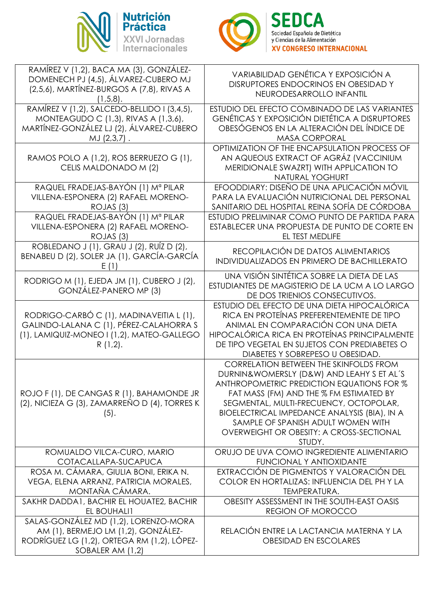



| RAMÍREZ V (1,2), BACA MA (3), GONZÁLEZ-                                           | VARIABILIDAD GENÉTICA Y EXPOSICIÓN A                                                  |
|-----------------------------------------------------------------------------------|---------------------------------------------------------------------------------------|
| DOMENECH PJ (4,5), ÁLVAREZ-CUBERO MJ<br>(2,5,6), MARTÍNEZ-BURGOS A (7,8), RIVAS A | DISRUPTORES ENDOCRINOS EN OBESIDAD Y                                                  |
| $(1,5,8)$ .                                                                       | NEURODESARROLLO INFANTIL                                                              |
| RAMÍREZ V (1,2), SALCEDO-BELLIDO I (3,4,5),                                       | ESTUDIO DEL EFECTO COMBINADO DE LAS VARIANTES                                         |
| MONTEAGUDO C (1,3), RIVAS A (1,3,6),                                              | <b>GENÉTICAS Y EXPOSICIÓN DIETÉTICA A DISRUPTORES</b>                                 |
| MARTÍNEZ-GONZÁLEZ LJ (2), ÁLVAREZ-CUBERO                                          | OBESÓGENOS EN LA ALTERACIÓN DEL ÍNDICE DE                                             |
| MJ (2,3,7).                                                                       | <b>MASA CORPORAL</b>                                                                  |
|                                                                                   | OPTIMIZATION OF THE ENCAPSULATION PROCESS OF                                          |
| RAMOS POLO A (1,2), ROS BERRUEZO G (1),                                           | AN AQUEOUS EXTRACT OF AGRÁZ (VACCINIUM                                                |
| CELIS MALDONADO M (2)                                                             | MERIDIONALE SWAZRT) WITH APPLICATION TO                                               |
| RAQUEL FRADEJAS-BAYÓN (1) Mª PILAR                                                | NATURAL YOGHURT<br>EFOODDIARY: DISEÑO DE UNA APLICACIÓN MÓVIL                         |
| VILLENA-ESPONERA (2) RAFAEL MORENO-                                               | PARA LA EVALUACIÓN NUTRICIONAL DEL PERSONAL                                           |
| ROJAS (3)                                                                         | SANITARIO DEL HOSPITAL REINA SOFÍA DE CÓRDOBA                                         |
| RAQUEL FRADEJAS-BAYÓN (1) Mª PILAR                                                | ESTUDIO PRELIMINAR COMO PUNTO DE PARTIDA PARA                                         |
| VILLENA-ESPONERA (2) RAFAEL MORENO-                                               | ESTABLECER UNA PROPUESTA DE PUNTO DE CORTE EN                                         |
| ROJAS (3)                                                                         | EL TEST MEDLIFE                                                                       |
| ROBLEDANO J (1), GRAU J (2), RUÍZ D (2),                                          | RECOPILACIÓN DE DATOS ALIMENTARIOS                                                    |
| BENABEU D (2), SOLER JA (1), GARCÍA-GARCÍA                                        | <b>INDIVIDUALIZADOS EN PRIMERO DE BACHILLERATO</b>                                    |
|                                                                                   |                                                                                       |
| RODRIGO M (1), EJEDA JM (1), CUBERO J (2),                                        | UNA VISIÓN SINTÉTICA SOBRE LA DIETA DE LAS                                            |
| GONZÁLEZ-PANERO MP (3)                                                            | ESTUDIANTES DE MAGISTERIO DE LA UCM A LO LARGO                                        |
|                                                                                   | DE DOS TRIENIOS CONSECUTIVOS.<br>ESTUDIO DEL EFECTO DE UNA DIETA HIPOCALÓRICA         |
| RODRIGO-CARBÓ C (1), MADINAVEITIA L (1),                                          | RICA EN PROTEÍNAS PREFERENTEMENTE DE TIPO                                             |
| GALINDO-LALANA C (1), PÉREZ-CALAHORRA S                                           | ANIMAL EN COMPARACIÓN CON UNA DIETA                                                   |
| (1), LAMIQUIZ-MONEO I (1,2), MATEO-GALLEGO                                        | HIPOCALÓRICA RICA EN PROTEÍNAS PRINCIPALMENTE                                         |
| $R(1,2)$ .                                                                        | DE TIPO VEGETAL EN SUJETOS CON PREDIABETES O                                          |
|                                                                                   | DIABETES Y SOBREPESO U OBESIDAD.                                                      |
|                                                                                   | <b>CORRELATION BETWEEN THE SKINFOLDS FROM</b>                                         |
|                                                                                   | DURNIN&WOMERSLY (D&W) AND LEAHY S ET AL'S                                             |
|                                                                                   | ANTHROPOMETRIC PREDICTION EQUATIONS FOR %                                             |
| ROJO F (1), DE CANGAS R (1), BAHAMONDE JR                                         | FAT MASS (FM) AND THE % FM ESTIMATED BY                                               |
| (2), NICIEZA G (3), ZAMARREÑO D (4), TORRES K                                     | SEGMENTAL, MULTI-FRECUENCY, OCTOPOLAR,                                                |
| (5).                                                                              | BIOELECTRICAL IMPEDANCE ANALYSIS (BIA), IN A                                          |
|                                                                                   | SAMPLE OF SPANISH ADULT WOMEN WITH<br><b>OVERWEIGHT OR OBESITY: A CROSS-SECTIONAL</b> |
|                                                                                   | STUDY.                                                                                |
| ROMUALDO VILCA-CURO, MARIO                                                        | ORUJO DE UVA COMO INGREDIENTE ALIMENTARIO                                             |
| COTACALLAPA-SUCAPUCA                                                              | <b>FUNCIONAL Y ANTIOXIDANTE</b>                                                       |
| ROSA M. CÁMARA, GIULIA BONI, ERIKA N.                                             | EXTRACCIÓN DE PIGMENTOS Y VALORACIÓN DEL                                              |
| VEGA, ELENA ARRANZ, PATRICIA MORALES,                                             | COLOR EN HORTALIZAS: INFLUENCIA DEL PHY LA                                            |
| MONTAÑA CÁMARA.                                                                   | TEMPERATURA.                                                                          |
| SAKHR DADDA1, BACHIR EL HOUATE2, BACHIR                                           | OBESITY ASSESSMENT IN THE SOUTH-EAST OASIS                                            |
| EL BOUHALI1                                                                       | <b>REGION OF MOROCCO</b>                                                              |
| SALAS-GONZÁLEZ MD (1,2), LORENZO-MORA                                             |                                                                                       |
| AM (1), BERMEJO LM (1,2), GONZÁLEZ-                                               | RELACIÓN ENTRE LA LACTANCIA MATERNA Y LA                                              |
| RODRÍGUEZ LG (1,2), ORTEGA RM (1,2), LÓPEZ-                                       | <b>OBESIDAD EN ESCOLARES</b>                                                          |
| SOBALER AM (1,2)                                                                  |                                                                                       |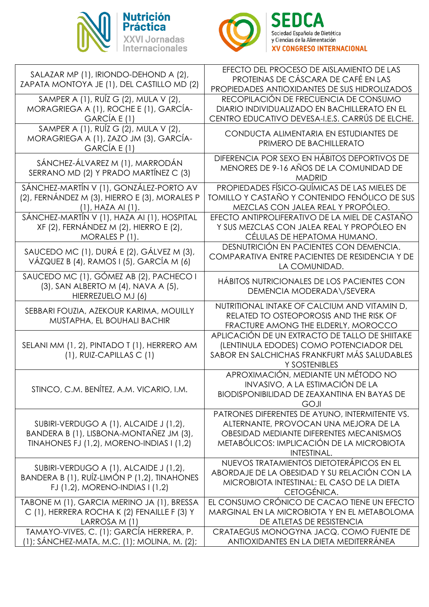



| SALAZAR MP (1), IRIONDO-DEHOND A (2),<br>PROTEINAS DE CÁSCARA DE CAFÉ EN LAS<br>ZAPATA MONTOYA JE (1), DEL CASTILLO MD (2)<br>PROPIEDADES ANTIOXIDANTES DE SUS HIDROLIZADOS<br>SAMPER A (1), RUÍZ G (2), MULA V (2),<br>RECOPILACIÓN DE FRECUENCIA DE CONSUMO<br>MORAGRIEGA A (1), ROCHE E (1), GARCÍA-<br>DIARIO INDIVIDUALIZADO EN BACHILLERATO EN EL<br>CENTRO EDUCATIVO DEVESA-I.E.S. CARRÚS DE ELCHE.<br>GARCÍA E (1)<br>SAMPER A (1), RUÍZ G (2), MULA V (2),<br>CONDUCTA ALIMENTARIA EN ESTUDIANTES DE<br>MORAGRIEGA A (1), ZAZO JM (3), GARCÍA-<br>PRIMERO DE BACHILLERATO<br>GARCÍA E (1)<br>DIFERENCIA POR SEXO EN HÁBITOS DEPORTIVOS DE<br>SÁNCHEZ-ÁLVAREZ M (1), MARRODÁN<br>MENORES DE 9-16 AÑOS DE LA COMUNIDAD DE<br>SERRANO MD (2) Y PRADO MARTÍNEZ C (3)<br><b>MADRID</b><br>SÁNCHEZ-MARTÍN V (1), GONZÁLEZ-PORTO AV<br>PROPIEDADES FÍSICO-QUÍMICAS DE LAS MIELES DE<br>(2), FERNÁNDEZ M (3), HIERRO E (3), MORALES P<br><b>TOMILLO Y CASTAÑO Y CONTENIDO FENÓLICO DE SUS</b><br>MEZCLAS CON JALEA REAL Y PROPÓLEO.<br>$(1)$ , HAZA Al $(1)$ .<br>SÁNCHEZ-MARTÍN V (1), HAZA AI (1), HOSPITAL<br>EFECTO ANTIPROLIFERATIVO DE LA MIEL DE CASTAÑO<br>XF (2), FERNÁNDEZ M (2), HIERRO E (2),<br>Y SUS MEZCLAS CON JALEA REAL Y PROPÓLEO EN<br>CÉLULAS DE HEPATOMA HUMANO.<br>MORALES P(1).<br>DESNUTRICIÓN EN PACIENTES CON DEMENCIA.<br>SAUCEDO MC (1), DURÁ E (2), GÁLVEZ M (3),<br>COMPARATIVA ENTRE PACIENTES DE RESIDENCIA Y DE<br>VÁZQUEZ B (4), RAMOS I (5), GARCÍA M (6)<br>LA COMUNIDAD.<br>SAUCEDO MC (1), GÓMEZ AB (2), PACHECO I<br>HÁBITOS NUTRICIONALES DE LOS PACIENTES CON<br>(3), SAN ALBERTO M (4), NAVA A (5),<br>DEMENCIA MODERADA\/SEVERA<br>HIERREZUELO MJ (6)<br>NUTRITIONAL INTAKE OF CALCIUM AND VITAMIN D,<br>SEBBARI FOUZIA, AZEKOUR KARIMA, MOUILLY<br>RELATED TO OSTEOPOROSIS AND THE RISK OF<br>MUSTAPHA, EL BOUHALI BACHIR<br>FRACTURE AMONG THE ELDERLY, MOROCCO<br>APLICACIÓN DE UN EXTRACTO DE TALLO DE SHIITAKE<br>SELANI MM (1, 2), PINTADO T (1), HERRERO AM<br>(LENTINULA EDODES) COMO POTENCIADOR DEL<br>SABOR EN SALCHICHAS FRANKFURT MÁS SALUDABLES<br>$(1)$ , RUIZ-CAPILLAS C $(1)$<br>Y SOSTENIBLES<br>APROXIMACIÓN, MEDIANTE UN MÉTODO NO<br>INVASIVO, A LA ESTIMACIÓN DE LA<br>STINCO, C.M. BENÍTEZ, A.M. VICARIO, I.M.<br><b>BIODISPONIBILIDAD DE ZEAXANTINA EN BAYAS DE</b><br><b>GOJI</b><br>PATRONES DIFERENTES DE AYUNO, INTERMITENTE VS.<br>SUBIRI-VERDUGO A (1), ALCAIDE J (1,2),<br>ALTERNANTE, PROVOCAN UNA MEJORA DE LA<br>BANDERA B (1), LISBONA-MONTAÑEZ JM (3),<br>OBESIDAD MEDIANTE DIFERENTES MECANISMOS<br>METABÓLICOS: IMPLICACIÓN DE LA MICROBIOTA<br>TINAHONES FJ (1,2), MORENO-INDIAS I (1,2)<br>INTESTINAL.<br>NUEVOS TRATAMIENTOS DIETOTERÁPICOS EN EL<br>SUBIRI-VERDUGO A (1), ALCAIDE J (1,2),<br>ABORDAJE DE LA OBESIDAD Y SU RELACIÓN CON LA<br>BANDERA B (1), RUÍZ-LIMÓN P (1,2), TINAHONES<br>MICROBIOTA INTESTINAL: EL CASO DE LA DIETA<br>FJ (1,2), MORENO-INDIAS I (1,2)<br>CETOGÉNICA.<br>EL CONSUMO CRÓNICO DE CACAO TIENE UN EFECTO<br>TABONE M (1), GARCIA MERINO JA (1), BRESSA<br>C (1), HERRERA ROCHA K (2) FENAILLE F (3) Y<br>MARGINAL EN LA MICROBIOTA Y EN EL METABOLOMA<br>LARROSA M (1)<br>DE ATLETAS DE RESISTENCIA<br>TAMAYO-VIVES, C. (1); GARCÍA HERRERA, P.<br>CRATAEGUS MONOGYNA JACQ. COMO FUENTE DE<br>ANTIOXIDANTES EN LA DIETA MEDITERRÁNEA |                                          |
|--------------------------------------------------------------------------------------------------------------------------------------------------------------------------------------------------------------------------------------------------------------------------------------------------------------------------------------------------------------------------------------------------------------------------------------------------------------------------------------------------------------------------------------------------------------------------------------------------------------------------------------------------------------------------------------------------------------------------------------------------------------------------------------------------------------------------------------------------------------------------------------------------------------------------------------------------------------------------------------------------------------------------------------------------------------------------------------------------------------------------------------------------------------------------------------------------------------------------------------------------------------------------------------------------------------------------------------------------------------------------------------------------------------------------------------------------------------------------------------------------------------------------------------------------------------------------------------------------------------------------------------------------------------------------------------------------------------------------------------------------------------------------------------------------------------------------------------------------------------------------------------------------------------------------------------------------------------------------------------------------------------------------------------------------------------------------------------------------------------------------------------------------------------------------------------------------------------------------------------------------------------------------------------------------------------------------------------------------------------------------------------------------------------------------------------------------------------------------------------------------------------------------------------------------------------------------------------------------------------------------------------------------------------------------------------------------------------------------------------------------------------------------------------------------------------------------------------------------------------------------------------------------------------------------------------------------------------------------------------------------------------------------------------------------------------------------------------------------------------------------------------------------------------------------------------------------------------------------------------------------------------------------------------------------------------------------------------------------------------|------------------------------------------|
|                                                                                                                                                                                                                                                                                                                                                                                                                                                                                                                                                                                                                                                                                                                                                                                                                                                                                                                                                                                                                                                                                                                                                                                                                                                                                                                                                                                                                                                                                                                                                                                                                                                                                                                                                                                                                                                                                                                                                                                                                                                                                                                                                                                                                                                                                                                                                                                                                                                                                                                                                                                                                                                                                                                                                                                                                                                                                                                                                                                                                                                                                                                                                                                                                                                                                                                                                              | EFECTO DEL PROCESO DE AISLAMIENTO DE LAS |
|                                                                                                                                                                                                                                                                                                                                                                                                                                                                                                                                                                                                                                                                                                                                                                                                                                                                                                                                                                                                                                                                                                                                                                                                                                                                                                                                                                                                                                                                                                                                                                                                                                                                                                                                                                                                                                                                                                                                                                                                                                                                                                                                                                                                                                                                                                                                                                                                                                                                                                                                                                                                                                                                                                                                                                                                                                                                                                                                                                                                                                                                                                                                                                                                                                                                                                                                                              |                                          |
|                                                                                                                                                                                                                                                                                                                                                                                                                                                                                                                                                                                                                                                                                                                                                                                                                                                                                                                                                                                                                                                                                                                                                                                                                                                                                                                                                                                                                                                                                                                                                                                                                                                                                                                                                                                                                                                                                                                                                                                                                                                                                                                                                                                                                                                                                                                                                                                                                                                                                                                                                                                                                                                                                                                                                                                                                                                                                                                                                                                                                                                                                                                                                                                                                                                                                                                                                              |                                          |
|                                                                                                                                                                                                                                                                                                                                                                                                                                                                                                                                                                                                                                                                                                                                                                                                                                                                                                                                                                                                                                                                                                                                                                                                                                                                                                                                                                                                                                                                                                                                                                                                                                                                                                                                                                                                                                                                                                                                                                                                                                                                                                                                                                                                                                                                                                                                                                                                                                                                                                                                                                                                                                                                                                                                                                                                                                                                                                                                                                                                                                                                                                                                                                                                                                                                                                                                                              |                                          |
|                                                                                                                                                                                                                                                                                                                                                                                                                                                                                                                                                                                                                                                                                                                                                                                                                                                                                                                                                                                                                                                                                                                                                                                                                                                                                                                                                                                                                                                                                                                                                                                                                                                                                                                                                                                                                                                                                                                                                                                                                                                                                                                                                                                                                                                                                                                                                                                                                                                                                                                                                                                                                                                                                                                                                                                                                                                                                                                                                                                                                                                                                                                                                                                                                                                                                                                                                              |                                          |
|                                                                                                                                                                                                                                                                                                                                                                                                                                                                                                                                                                                                                                                                                                                                                                                                                                                                                                                                                                                                                                                                                                                                                                                                                                                                                                                                                                                                                                                                                                                                                                                                                                                                                                                                                                                                                                                                                                                                                                                                                                                                                                                                                                                                                                                                                                                                                                                                                                                                                                                                                                                                                                                                                                                                                                                                                                                                                                                                                                                                                                                                                                                                                                                                                                                                                                                                                              |                                          |
|                                                                                                                                                                                                                                                                                                                                                                                                                                                                                                                                                                                                                                                                                                                                                                                                                                                                                                                                                                                                                                                                                                                                                                                                                                                                                                                                                                                                                                                                                                                                                                                                                                                                                                                                                                                                                                                                                                                                                                                                                                                                                                                                                                                                                                                                                                                                                                                                                                                                                                                                                                                                                                                                                                                                                                                                                                                                                                                                                                                                                                                                                                                                                                                                                                                                                                                                                              |                                          |
|                                                                                                                                                                                                                                                                                                                                                                                                                                                                                                                                                                                                                                                                                                                                                                                                                                                                                                                                                                                                                                                                                                                                                                                                                                                                                                                                                                                                                                                                                                                                                                                                                                                                                                                                                                                                                                                                                                                                                                                                                                                                                                                                                                                                                                                                                                                                                                                                                                                                                                                                                                                                                                                                                                                                                                                                                                                                                                                                                                                                                                                                                                                                                                                                                                                                                                                                                              |                                          |
|                                                                                                                                                                                                                                                                                                                                                                                                                                                                                                                                                                                                                                                                                                                                                                                                                                                                                                                                                                                                                                                                                                                                                                                                                                                                                                                                                                                                                                                                                                                                                                                                                                                                                                                                                                                                                                                                                                                                                                                                                                                                                                                                                                                                                                                                                                                                                                                                                                                                                                                                                                                                                                                                                                                                                                                                                                                                                                                                                                                                                                                                                                                                                                                                                                                                                                                                                              |                                          |
|                                                                                                                                                                                                                                                                                                                                                                                                                                                                                                                                                                                                                                                                                                                                                                                                                                                                                                                                                                                                                                                                                                                                                                                                                                                                                                                                                                                                                                                                                                                                                                                                                                                                                                                                                                                                                                                                                                                                                                                                                                                                                                                                                                                                                                                                                                                                                                                                                                                                                                                                                                                                                                                                                                                                                                                                                                                                                                                                                                                                                                                                                                                                                                                                                                                                                                                                                              |                                          |
|                                                                                                                                                                                                                                                                                                                                                                                                                                                                                                                                                                                                                                                                                                                                                                                                                                                                                                                                                                                                                                                                                                                                                                                                                                                                                                                                                                                                                                                                                                                                                                                                                                                                                                                                                                                                                                                                                                                                                                                                                                                                                                                                                                                                                                                                                                                                                                                                                                                                                                                                                                                                                                                                                                                                                                                                                                                                                                                                                                                                                                                                                                                                                                                                                                                                                                                                                              |                                          |
|                                                                                                                                                                                                                                                                                                                                                                                                                                                                                                                                                                                                                                                                                                                                                                                                                                                                                                                                                                                                                                                                                                                                                                                                                                                                                                                                                                                                                                                                                                                                                                                                                                                                                                                                                                                                                                                                                                                                                                                                                                                                                                                                                                                                                                                                                                                                                                                                                                                                                                                                                                                                                                                                                                                                                                                                                                                                                                                                                                                                                                                                                                                                                                                                                                                                                                                                                              |                                          |
|                                                                                                                                                                                                                                                                                                                                                                                                                                                                                                                                                                                                                                                                                                                                                                                                                                                                                                                                                                                                                                                                                                                                                                                                                                                                                                                                                                                                                                                                                                                                                                                                                                                                                                                                                                                                                                                                                                                                                                                                                                                                                                                                                                                                                                                                                                                                                                                                                                                                                                                                                                                                                                                                                                                                                                                                                                                                                                                                                                                                                                                                                                                                                                                                                                                                                                                                                              |                                          |
|                                                                                                                                                                                                                                                                                                                                                                                                                                                                                                                                                                                                                                                                                                                                                                                                                                                                                                                                                                                                                                                                                                                                                                                                                                                                                                                                                                                                                                                                                                                                                                                                                                                                                                                                                                                                                                                                                                                                                                                                                                                                                                                                                                                                                                                                                                                                                                                                                                                                                                                                                                                                                                                                                                                                                                                                                                                                                                                                                                                                                                                                                                                                                                                                                                                                                                                                                              |                                          |
|                                                                                                                                                                                                                                                                                                                                                                                                                                                                                                                                                                                                                                                                                                                                                                                                                                                                                                                                                                                                                                                                                                                                                                                                                                                                                                                                                                                                                                                                                                                                                                                                                                                                                                                                                                                                                                                                                                                                                                                                                                                                                                                                                                                                                                                                                                                                                                                                                                                                                                                                                                                                                                                                                                                                                                                                                                                                                                                                                                                                                                                                                                                                                                                                                                                                                                                                                              |                                          |
|                                                                                                                                                                                                                                                                                                                                                                                                                                                                                                                                                                                                                                                                                                                                                                                                                                                                                                                                                                                                                                                                                                                                                                                                                                                                                                                                                                                                                                                                                                                                                                                                                                                                                                                                                                                                                                                                                                                                                                                                                                                                                                                                                                                                                                                                                                                                                                                                                                                                                                                                                                                                                                                                                                                                                                                                                                                                                                                                                                                                                                                                                                                                                                                                                                                                                                                                                              |                                          |
|                                                                                                                                                                                                                                                                                                                                                                                                                                                                                                                                                                                                                                                                                                                                                                                                                                                                                                                                                                                                                                                                                                                                                                                                                                                                                                                                                                                                                                                                                                                                                                                                                                                                                                                                                                                                                                                                                                                                                                                                                                                                                                                                                                                                                                                                                                                                                                                                                                                                                                                                                                                                                                                                                                                                                                                                                                                                                                                                                                                                                                                                                                                                                                                                                                                                                                                                                              |                                          |
|                                                                                                                                                                                                                                                                                                                                                                                                                                                                                                                                                                                                                                                                                                                                                                                                                                                                                                                                                                                                                                                                                                                                                                                                                                                                                                                                                                                                                                                                                                                                                                                                                                                                                                                                                                                                                                                                                                                                                                                                                                                                                                                                                                                                                                                                                                                                                                                                                                                                                                                                                                                                                                                                                                                                                                                                                                                                                                                                                                                                                                                                                                                                                                                                                                                                                                                                                              |                                          |
|                                                                                                                                                                                                                                                                                                                                                                                                                                                                                                                                                                                                                                                                                                                                                                                                                                                                                                                                                                                                                                                                                                                                                                                                                                                                                                                                                                                                                                                                                                                                                                                                                                                                                                                                                                                                                                                                                                                                                                                                                                                                                                                                                                                                                                                                                                                                                                                                                                                                                                                                                                                                                                                                                                                                                                                                                                                                                                                                                                                                                                                                                                                                                                                                                                                                                                                                                              |                                          |
|                                                                                                                                                                                                                                                                                                                                                                                                                                                                                                                                                                                                                                                                                                                                                                                                                                                                                                                                                                                                                                                                                                                                                                                                                                                                                                                                                                                                                                                                                                                                                                                                                                                                                                                                                                                                                                                                                                                                                                                                                                                                                                                                                                                                                                                                                                                                                                                                                                                                                                                                                                                                                                                                                                                                                                                                                                                                                                                                                                                                                                                                                                                                                                                                                                                                                                                                                              |                                          |
|                                                                                                                                                                                                                                                                                                                                                                                                                                                                                                                                                                                                                                                                                                                                                                                                                                                                                                                                                                                                                                                                                                                                                                                                                                                                                                                                                                                                                                                                                                                                                                                                                                                                                                                                                                                                                                                                                                                                                                                                                                                                                                                                                                                                                                                                                                                                                                                                                                                                                                                                                                                                                                                                                                                                                                                                                                                                                                                                                                                                                                                                                                                                                                                                                                                                                                                                                              |                                          |
|                                                                                                                                                                                                                                                                                                                                                                                                                                                                                                                                                                                                                                                                                                                                                                                                                                                                                                                                                                                                                                                                                                                                                                                                                                                                                                                                                                                                                                                                                                                                                                                                                                                                                                                                                                                                                                                                                                                                                                                                                                                                                                                                                                                                                                                                                                                                                                                                                                                                                                                                                                                                                                                                                                                                                                                                                                                                                                                                                                                                                                                                                                                                                                                                                                                                                                                                                              |                                          |
|                                                                                                                                                                                                                                                                                                                                                                                                                                                                                                                                                                                                                                                                                                                                                                                                                                                                                                                                                                                                                                                                                                                                                                                                                                                                                                                                                                                                                                                                                                                                                                                                                                                                                                                                                                                                                                                                                                                                                                                                                                                                                                                                                                                                                                                                                                                                                                                                                                                                                                                                                                                                                                                                                                                                                                                                                                                                                                                                                                                                                                                                                                                                                                                                                                                                                                                                                              |                                          |
|                                                                                                                                                                                                                                                                                                                                                                                                                                                                                                                                                                                                                                                                                                                                                                                                                                                                                                                                                                                                                                                                                                                                                                                                                                                                                                                                                                                                                                                                                                                                                                                                                                                                                                                                                                                                                                                                                                                                                                                                                                                                                                                                                                                                                                                                                                                                                                                                                                                                                                                                                                                                                                                                                                                                                                                                                                                                                                                                                                                                                                                                                                                                                                                                                                                                                                                                                              |                                          |
|                                                                                                                                                                                                                                                                                                                                                                                                                                                                                                                                                                                                                                                                                                                                                                                                                                                                                                                                                                                                                                                                                                                                                                                                                                                                                                                                                                                                                                                                                                                                                                                                                                                                                                                                                                                                                                                                                                                                                                                                                                                                                                                                                                                                                                                                                                                                                                                                                                                                                                                                                                                                                                                                                                                                                                                                                                                                                                                                                                                                                                                                                                                                                                                                                                                                                                                                                              |                                          |
|                                                                                                                                                                                                                                                                                                                                                                                                                                                                                                                                                                                                                                                                                                                                                                                                                                                                                                                                                                                                                                                                                                                                                                                                                                                                                                                                                                                                                                                                                                                                                                                                                                                                                                                                                                                                                                                                                                                                                                                                                                                                                                                                                                                                                                                                                                                                                                                                                                                                                                                                                                                                                                                                                                                                                                                                                                                                                                                                                                                                                                                                                                                                                                                                                                                                                                                                                              |                                          |
|                                                                                                                                                                                                                                                                                                                                                                                                                                                                                                                                                                                                                                                                                                                                                                                                                                                                                                                                                                                                                                                                                                                                                                                                                                                                                                                                                                                                                                                                                                                                                                                                                                                                                                                                                                                                                                                                                                                                                                                                                                                                                                                                                                                                                                                                                                                                                                                                                                                                                                                                                                                                                                                                                                                                                                                                                                                                                                                                                                                                                                                                                                                                                                                                                                                                                                                                                              |                                          |
|                                                                                                                                                                                                                                                                                                                                                                                                                                                                                                                                                                                                                                                                                                                                                                                                                                                                                                                                                                                                                                                                                                                                                                                                                                                                                                                                                                                                                                                                                                                                                                                                                                                                                                                                                                                                                                                                                                                                                                                                                                                                                                                                                                                                                                                                                                                                                                                                                                                                                                                                                                                                                                                                                                                                                                                                                                                                                                                                                                                                                                                                                                                                                                                                                                                                                                                                                              |                                          |
|                                                                                                                                                                                                                                                                                                                                                                                                                                                                                                                                                                                                                                                                                                                                                                                                                                                                                                                                                                                                                                                                                                                                                                                                                                                                                                                                                                                                                                                                                                                                                                                                                                                                                                                                                                                                                                                                                                                                                                                                                                                                                                                                                                                                                                                                                                                                                                                                                                                                                                                                                                                                                                                                                                                                                                                                                                                                                                                                                                                                                                                                                                                                                                                                                                                                                                                                                              |                                          |
|                                                                                                                                                                                                                                                                                                                                                                                                                                                                                                                                                                                                                                                                                                                                                                                                                                                                                                                                                                                                                                                                                                                                                                                                                                                                                                                                                                                                                                                                                                                                                                                                                                                                                                                                                                                                                                                                                                                                                                                                                                                                                                                                                                                                                                                                                                                                                                                                                                                                                                                                                                                                                                                                                                                                                                                                                                                                                                                                                                                                                                                                                                                                                                                                                                                                                                                                                              |                                          |
|                                                                                                                                                                                                                                                                                                                                                                                                                                                                                                                                                                                                                                                                                                                                                                                                                                                                                                                                                                                                                                                                                                                                                                                                                                                                                                                                                                                                                                                                                                                                                                                                                                                                                                                                                                                                                                                                                                                                                                                                                                                                                                                                                                                                                                                                                                                                                                                                                                                                                                                                                                                                                                                                                                                                                                                                                                                                                                                                                                                                                                                                                                                                                                                                                                                                                                                                                              |                                          |
|                                                                                                                                                                                                                                                                                                                                                                                                                                                                                                                                                                                                                                                                                                                                                                                                                                                                                                                                                                                                                                                                                                                                                                                                                                                                                                                                                                                                                                                                                                                                                                                                                                                                                                                                                                                                                                                                                                                                                                                                                                                                                                                                                                                                                                                                                                                                                                                                                                                                                                                                                                                                                                                                                                                                                                                                                                                                                                                                                                                                                                                                                                                                                                                                                                                                                                                                                              |                                          |
|                                                                                                                                                                                                                                                                                                                                                                                                                                                                                                                                                                                                                                                                                                                                                                                                                                                                                                                                                                                                                                                                                                                                                                                                                                                                                                                                                                                                                                                                                                                                                                                                                                                                                                                                                                                                                                                                                                                                                                                                                                                                                                                                                                                                                                                                                                                                                                                                                                                                                                                                                                                                                                                                                                                                                                                                                                                                                                                                                                                                                                                                                                                                                                                                                                                                                                                                                              |                                          |
|                                                                                                                                                                                                                                                                                                                                                                                                                                                                                                                                                                                                                                                                                                                                                                                                                                                                                                                                                                                                                                                                                                                                                                                                                                                                                                                                                                                                                                                                                                                                                                                                                                                                                                                                                                                                                                                                                                                                                                                                                                                                                                                                                                                                                                                                                                                                                                                                                                                                                                                                                                                                                                                                                                                                                                                                                                                                                                                                                                                                                                                                                                                                                                                                                                                                                                                                                              |                                          |
|                                                                                                                                                                                                                                                                                                                                                                                                                                                                                                                                                                                                                                                                                                                                                                                                                                                                                                                                                                                                                                                                                                                                                                                                                                                                                                                                                                                                                                                                                                                                                                                                                                                                                                                                                                                                                                                                                                                                                                                                                                                                                                                                                                                                                                                                                                                                                                                                                                                                                                                                                                                                                                                                                                                                                                                                                                                                                                                                                                                                                                                                                                                                                                                                                                                                                                                                                              |                                          |
|                                                                                                                                                                                                                                                                                                                                                                                                                                                                                                                                                                                                                                                                                                                                                                                                                                                                                                                                                                                                                                                                                                                                                                                                                                                                                                                                                                                                                                                                                                                                                                                                                                                                                                                                                                                                                                                                                                                                                                                                                                                                                                                                                                                                                                                                                                                                                                                                                                                                                                                                                                                                                                                                                                                                                                                                                                                                                                                                                                                                                                                                                                                                                                                                                                                                                                                                                              |                                          |
|                                                                                                                                                                                                                                                                                                                                                                                                                                                                                                                                                                                                                                                                                                                                                                                                                                                                                                                                                                                                                                                                                                                                                                                                                                                                                                                                                                                                                                                                                                                                                                                                                                                                                                                                                                                                                                                                                                                                                                                                                                                                                                                                                                                                                                                                                                                                                                                                                                                                                                                                                                                                                                                                                                                                                                                                                                                                                                                                                                                                                                                                                                                                                                                                                                                                                                                                                              |                                          |
|                                                                                                                                                                                                                                                                                                                                                                                                                                                                                                                                                                                                                                                                                                                                                                                                                                                                                                                                                                                                                                                                                                                                                                                                                                                                                                                                                                                                                                                                                                                                                                                                                                                                                                                                                                                                                                                                                                                                                                                                                                                                                                                                                                                                                                                                                                                                                                                                                                                                                                                                                                                                                                                                                                                                                                                                                                                                                                                                                                                                                                                                                                                                                                                                                                                                                                                                                              |                                          |
|                                                                                                                                                                                                                                                                                                                                                                                                                                                                                                                                                                                                                                                                                                                                                                                                                                                                                                                                                                                                                                                                                                                                                                                                                                                                                                                                                                                                                                                                                                                                                                                                                                                                                                                                                                                                                                                                                                                                                                                                                                                                                                                                                                                                                                                                                                                                                                                                                                                                                                                                                                                                                                                                                                                                                                                                                                                                                                                                                                                                                                                                                                                                                                                                                                                                                                                                                              |                                          |
|                                                                                                                                                                                                                                                                                                                                                                                                                                                                                                                                                                                                                                                                                                                                                                                                                                                                                                                                                                                                                                                                                                                                                                                                                                                                                                                                                                                                                                                                                                                                                                                                                                                                                                                                                                                                                                                                                                                                                                                                                                                                                                                                                                                                                                                                                                                                                                                                                                                                                                                                                                                                                                                                                                                                                                                                                                                                                                                                                                                                                                                                                                                                                                                                                                                                                                                                                              |                                          |
|                                                                                                                                                                                                                                                                                                                                                                                                                                                                                                                                                                                                                                                                                                                                                                                                                                                                                                                                                                                                                                                                                                                                                                                                                                                                                                                                                                                                                                                                                                                                                                                                                                                                                                                                                                                                                                                                                                                                                                                                                                                                                                                                                                                                                                                                                                                                                                                                                                                                                                                                                                                                                                                                                                                                                                                                                                                                                                                                                                                                                                                                                                                                                                                                                                                                                                                                                              |                                          |
|                                                                                                                                                                                                                                                                                                                                                                                                                                                                                                                                                                                                                                                                                                                                                                                                                                                                                                                                                                                                                                                                                                                                                                                                                                                                                                                                                                                                                                                                                                                                                                                                                                                                                                                                                                                                                                                                                                                                                                                                                                                                                                                                                                                                                                                                                                                                                                                                                                                                                                                                                                                                                                                                                                                                                                                                                                                                                                                                                                                                                                                                                                                                                                                                                                                                                                                                                              |                                          |
|                                                                                                                                                                                                                                                                                                                                                                                                                                                                                                                                                                                                                                                                                                                                                                                                                                                                                                                                                                                                                                                                                                                                                                                                                                                                                                                                                                                                                                                                                                                                                                                                                                                                                                                                                                                                                                                                                                                                                                                                                                                                                                                                                                                                                                                                                                                                                                                                                                                                                                                                                                                                                                                                                                                                                                                                                                                                                                                                                                                                                                                                                                                                                                                                                                                                                                                                                              |                                          |
|                                                                                                                                                                                                                                                                                                                                                                                                                                                                                                                                                                                                                                                                                                                                                                                                                                                                                                                                                                                                                                                                                                                                                                                                                                                                                                                                                                                                                                                                                                                                                                                                                                                                                                                                                                                                                                                                                                                                                                                                                                                                                                                                                                                                                                                                                                                                                                                                                                                                                                                                                                                                                                                                                                                                                                                                                                                                                                                                                                                                                                                                                                                                                                                                                                                                                                                                                              |                                          |
|                                                                                                                                                                                                                                                                                                                                                                                                                                                                                                                                                                                                                                                                                                                                                                                                                                                                                                                                                                                                                                                                                                                                                                                                                                                                                                                                                                                                                                                                                                                                                                                                                                                                                                                                                                                                                                                                                                                                                                                                                                                                                                                                                                                                                                                                                                                                                                                                                                                                                                                                                                                                                                                                                                                                                                                                                                                                                                                                                                                                                                                                                                                                                                                                                                                                                                                                                              |                                          |
|                                                                                                                                                                                                                                                                                                                                                                                                                                                                                                                                                                                                                                                                                                                                                                                                                                                                                                                                                                                                                                                                                                                                                                                                                                                                                                                                                                                                                                                                                                                                                                                                                                                                                                                                                                                                                                                                                                                                                                                                                                                                                                                                                                                                                                                                                                                                                                                                                                                                                                                                                                                                                                                                                                                                                                                                                                                                                                                                                                                                                                                                                                                                                                                                                                                                                                                                                              |                                          |
|                                                                                                                                                                                                                                                                                                                                                                                                                                                                                                                                                                                                                                                                                                                                                                                                                                                                                                                                                                                                                                                                                                                                                                                                                                                                                                                                                                                                                                                                                                                                                                                                                                                                                                                                                                                                                                                                                                                                                                                                                                                                                                                                                                                                                                                                                                                                                                                                                                                                                                                                                                                                                                                                                                                                                                                                                                                                                                                                                                                                                                                                                                                                                                                                                                                                                                                                                              |                                          |
|                                                                                                                                                                                                                                                                                                                                                                                                                                                                                                                                                                                                                                                                                                                                                                                                                                                                                                                                                                                                                                                                                                                                                                                                                                                                                                                                                                                                                                                                                                                                                                                                                                                                                                                                                                                                                                                                                                                                                                                                                                                                                                                                                                                                                                                                                                                                                                                                                                                                                                                                                                                                                                                                                                                                                                                                                                                                                                                                                                                                                                                                                                                                                                                                                                                                                                                                                              |                                          |
|                                                                                                                                                                                                                                                                                                                                                                                                                                                                                                                                                                                                                                                                                                                                                                                                                                                                                                                                                                                                                                                                                                                                                                                                                                                                                                                                                                                                                                                                                                                                                                                                                                                                                                                                                                                                                                                                                                                                                                                                                                                                                                                                                                                                                                                                                                                                                                                                                                                                                                                                                                                                                                                                                                                                                                                                                                                                                                                                                                                                                                                                                                                                                                                                                                                                                                                                                              |                                          |